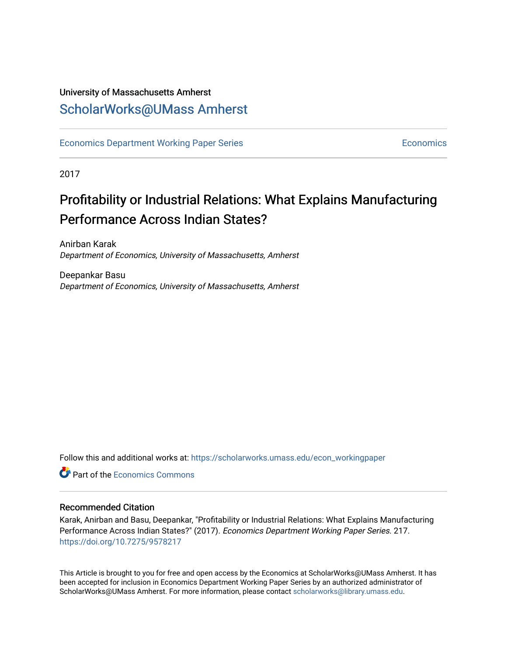# University of Massachusetts Amherst [ScholarWorks@UMass Amherst](https://scholarworks.umass.edu/)

[Economics Department Working Paper Series](https://scholarworks.umass.edu/econ_workingpaper) **Economics** [Economics](https://scholarworks.umass.edu/economics) Economics

2017

# Profitability or Industrial Relations: What Explains Manufacturing Performance Across Indian States?

Anirban Karak Department of Economics, University of Massachusetts, Amherst

Deepankar Basu Department of Economics, University of Massachusetts, Amherst

Follow this and additional works at: [https://scholarworks.umass.edu/econ\\_workingpaper](https://scholarworks.umass.edu/econ_workingpaper?utm_source=scholarworks.umass.edu%2Fecon_workingpaper%2F217&utm_medium=PDF&utm_campaign=PDFCoverPages) 

**Part of the [Economics Commons](http://network.bepress.com/hgg/discipline/340?utm_source=scholarworks.umass.edu%2Fecon_workingpaper%2F217&utm_medium=PDF&utm_campaign=PDFCoverPages)** 

#### Recommended Citation

Karak, Anirban and Basu, Deepankar, "Profitability or Industrial Relations: What Explains Manufacturing Performance Across Indian States?" (2017). Economics Department Working Paper Series. 217. <https://doi.org/10.7275/9578217>

This Article is brought to you for free and open access by the Economics at ScholarWorks@UMass Amherst. It has been accepted for inclusion in Economics Department Working Paper Series by an authorized administrator of ScholarWorks@UMass Amherst. For more information, please contact [scholarworks@library.umass.edu.](mailto:scholarworks@library.umass.edu)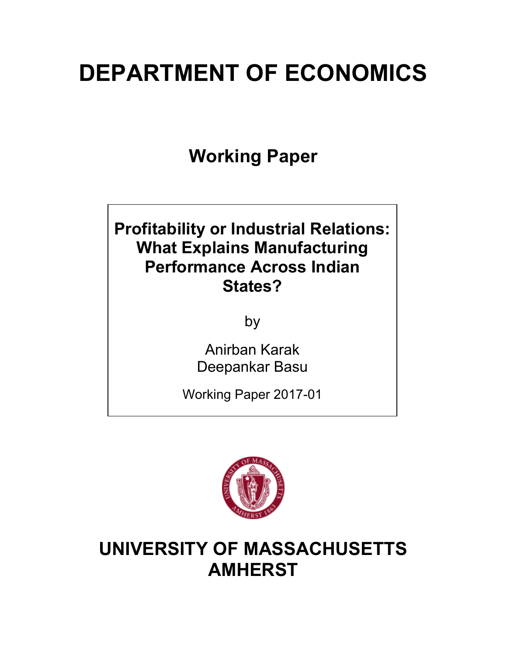# **DEPARTMENT OF ECONOMICS**

**Working Paper**

# **Profitability or Industrial Relations: What Explains Manufacturing Performance Across Indian States?**

by

Anirban Karak Deepankar Basu

Working Paper 2017-01



# **UNIVERSITY OF MASSACHUSETTS AMHERST**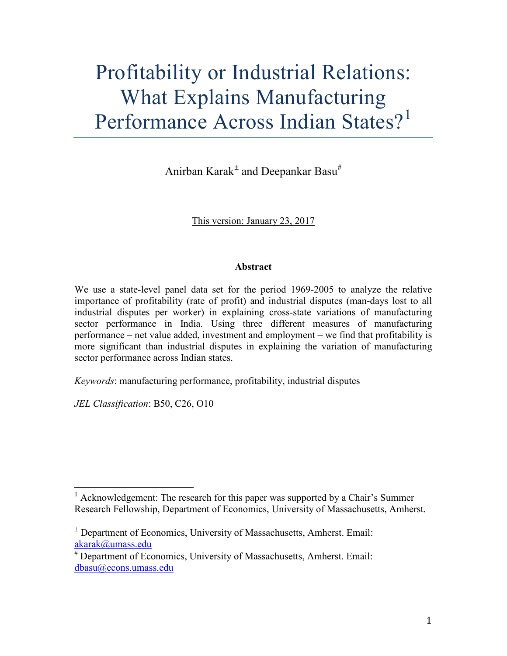# Profitability or Industrial Relations: What Explains Manufacturing Performance Across Indian States?<sup>1</sup>

Anirban Karak<sup>±</sup> and Deepankar Basu#

This version: January 23, 2017

# **Abstract**

We use a state-level panel data set for the period 1969-2005 to analyze the relative importance of profitability (rate of profit) and industrial disputes (man-days lost to all industrial disputes per worker) in explaining cross-state variations of manufacturing sector performance in India. Using three different measures of manufacturing performance – net value added, investment and employment – we find that profitability is more significant than industrial disputes in explaining the variation of manufacturing sector performance across Indian states.

*Keywords*: manufacturing performance, profitability, industrial disputes

*JEL Classification*: B50, C26, O10

 $1$  Acknowledgement: The research for this paper was supported by a Chair's Summer Research Fellowship, Department of Economics, University of Massachusetts, Amherst.

 $\pm$  Department of Economics, University of Massachusetts, Amherst. Email: akarak@umass.edu

<sup>#</sup> Department of Economics, University of Massachusetts, Amherst. Email: dbasu@econs.umass.edu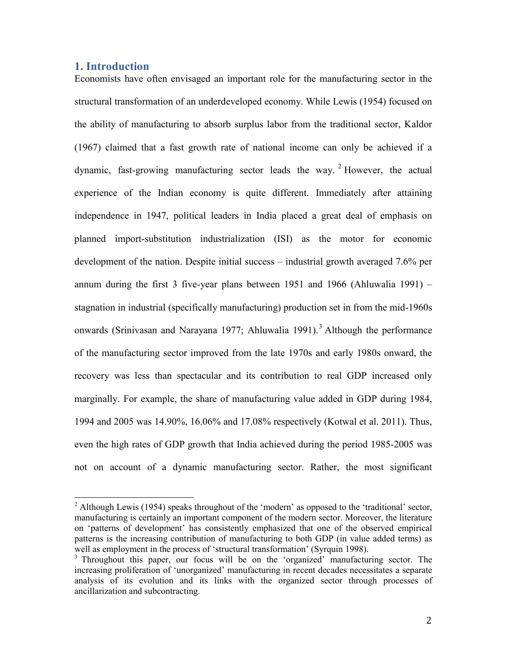### **1. Introduction**

Economists have often envisaged an important role for the manufacturing sector in the structural transformation of an underdeveloped economy. While Lewis (1954) focused on the ability of manufacturing to absorb surplus labor from the traditional sector, Kaldor (1967) claimed that a fast growth rate of national income can only be achieved if a dynamic, fast-growing manufacturing sector leads the way.  $2$  However, the actual experience of the Indian economy is quite different. Immediately after attaining independence in 1947, political leaders in India placed a great deal of emphasis on planned import-substitution industrialization (ISI) as the motor for economic development of the nation. Despite initial success – industrial growth averaged 7.6% per annum during the first 3 five-year plans between 1951 and 1966 (Ahluwalia 1991) – stagnation in industrial (specifically manufacturing) production set in from the mid-1960s onwards (Srinivasan and Narayana 1977; Ahluwalia 1991).<sup>3</sup> Although the performance of the manufacturing sector improved from the late 1970s and early 1980s onward, the recovery was less than spectacular and its contribution to real GDP increased only marginally. For example, the share of manufacturing value added in GDP during 1984, 1994 and 2005 was 14.90%, 16.06% and 17.08% respectively (Kotwal et al. 2011). Thus, even the high rates of GDP growth that India achieved during the period 1985-2005 was not on account of a dynamic manufacturing sector. Rather, the most significant

<sup>&</sup>lt;sup>2</sup> Although Lewis (1954) speaks throughout of the 'modern' as opposed to the 'traditional' sector, manufacturing is certainly an important component of the modern sector. Moreover, the literature on 'patterns of development' has consistently emphasized that one of the observed empirical patterns is the increasing contribution of manufacturing to both GDP (in value added terms) as well as employment in the process of 'structural transformation' (Syrquin 1998).

<sup>&</sup>lt;sup>3</sup> Throughout this paper, our focus will be on the 'organized' manufacturing sector. The increasing proliferation of 'unorganized' manufacturing in recent decades necessitates a separate analysis of its evolution and its links with the organized sector through processes of ancillarization and subcontracting.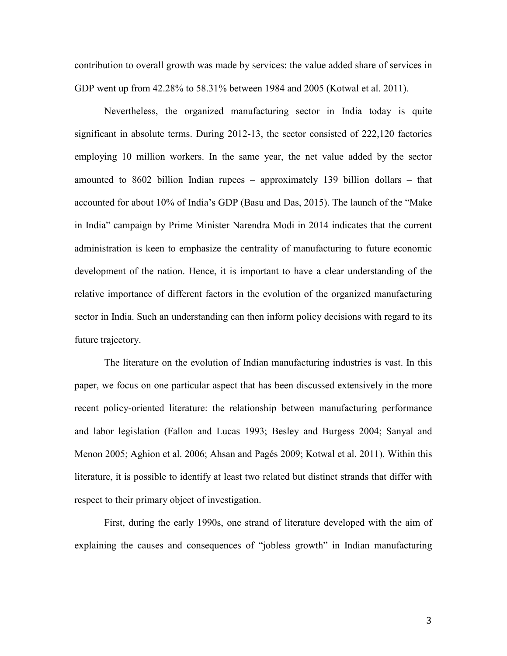contribution to overall growth was made by services: the value added share of services in GDP went up from 42.28% to 58.31% between 1984 and 2005 (Kotwal et al. 2011).

Nevertheless, the organized manufacturing sector in India today is quite significant in absolute terms. During 2012-13, the sector consisted of 222,120 factories employing 10 million workers. In the same year, the net value added by the sector amounted to 8602 billion Indian rupees – approximately 139 billion dollars – that accounted for about 10% of India's GDP (Basu and Das, 2015). The launch of the "Make in India" campaign by Prime Minister Narendra Modi in 2014 indicates that the current administration is keen to emphasize the centrality of manufacturing to future economic development of the nation. Hence, it is important to have a clear understanding of the relative importance of different factors in the evolution of the organized manufacturing sector in India. Such an understanding can then inform policy decisions with regard to its future trajectory.

The literature on the evolution of Indian manufacturing industries is vast. In this paper, we focus on one particular aspect that has been discussed extensively in the more recent policy-oriented literature: the relationship between manufacturing performance and labor legislation (Fallon and Lucas 1993; Besley and Burgess 2004; Sanyal and Menon 2005; Aghion et al. 2006; Ahsan and Pagés 2009; Kotwal et al. 2011). Within this literature, it is possible to identify at least two related but distinct strands that differ with respect to their primary object of investigation.

First, during the early 1990s, one strand of literature developed with the aim of explaining the causes and consequences of "jobless growth" in Indian manufacturing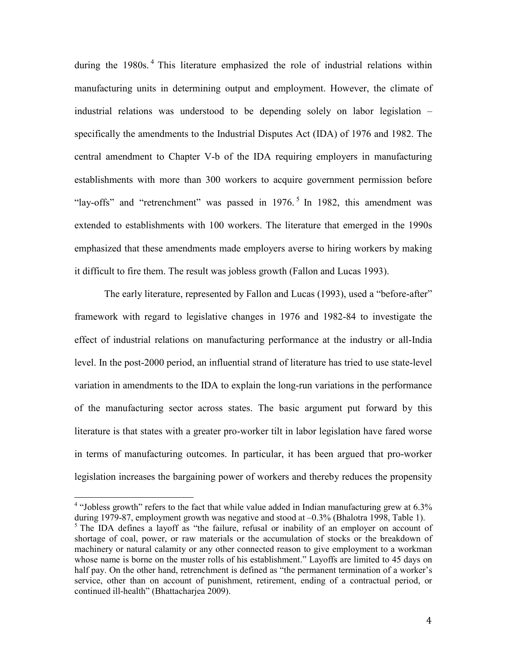during the 1980s.<sup>4</sup> This literature emphasized the role of industrial relations within manufacturing units in determining output and employment. However, the climate of industrial relations was understood to be depending solely on labor legislation – specifically the amendments to the Industrial Disputes Act (IDA) of 1976 and 1982. The central amendment to Chapter V-b of the IDA requiring employers in manufacturing establishments with more than 300 workers to acquire government permission before "lay-offs" and "retrenchment" was passed in 1976.<sup>5</sup> In 1982, this amendment was extended to establishments with 100 workers. The literature that emerged in the 1990s emphasized that these amendments made employers averse to hiring workers by making it difficult to fire them. The result was jobless growth (Fallon and Lucas 1993).

The early literature, represented by Fallon and Lucas (1993), used a "before-after" framework with regard to legislative changes in 1976 and 1982-84 to investigate the effect of industrial relations on manufacturing performance at the industry or all-India level. In the post-2000 period, an influential strand of literature has tried to use state-level variation in amendments to the IDA to explain the long-run variations in the performance of the manufacturing sector across states. The basic argument put forward by this literature is that states with a greater pro-worker tilt in labor legislation have fared worse in terms of manufacturing outcomes. In particular, it has been argued that pro-worker legislation increases the bargaining power of workers and thereby reduces the propensity

<sup>&</sup>lt;sup>4</sup> "Jobless growth" refers to the fact that while value added in Indian manufacturing grew at  $6.3\%$ during 1979-87, employment growth was negative and stood at –0.3% (Bhalotra 1998, Table 1).  $<sup>5</sup>$  The IDA defines a layoff as "the failure, refusal or inability of an employer on account of</sup> shortage of coal, power, or raw materials or the accumulation of stocks or the breakdown of machinery or natural calamity or any other connected reason to give employment to a workman whose name is borne on the muster rolls of his establishment." Layoffs are limited to 45 days on half pay. On the other hand, retrenchment is defined as "the permanent termination of a worker's service, other than on account of punishment, retirement, ending of a contractual period, or continued ill-health" (Bhattacharjea 2009).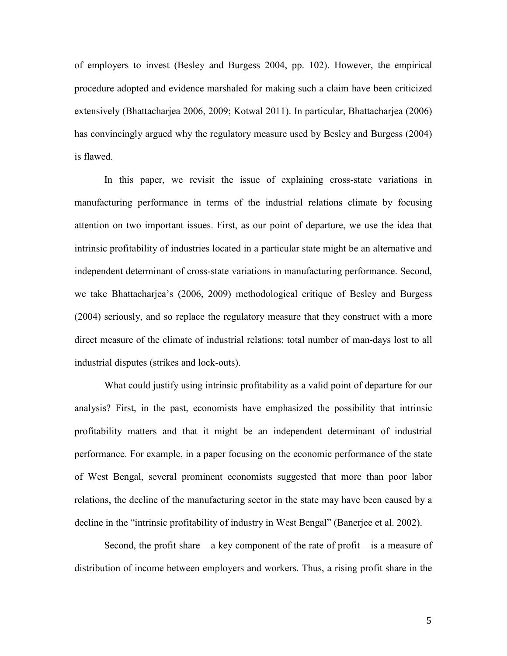of employers to invest (Besley and Burgess 2004, pp. 102). However, the empirical procedure adopted and evidence marshaled for making such a claim have been criticized extensively (Bhattacharjea 2006, 2009; Kotwal 2011). In particular, Bhattacharjea (2006) has convincingly argued why the regulatory measure used by Besley and Burgess (2004) is flawed.

In this paper, we revisit the issue of explaining cross-state variations in manufacturing performance in terms of the industrial relations climate by focusing attention on two important issues. First, as our point of departure, we use the idea that intrinsic profitability of industries located in a particular state might be an alternative and independent determinant of cross-state variations in manufacturing performance. Second, we take Bhattacharjea's (2006, 2009) methodological critique of Besley and Burgess (2004) seriously, and so replace the regulatory measure that they construct with a more direct measure of the climate of industrial relations: total number of man-days lost to all industrial disputes (strikes and lock-outs).

What could justify using intrinsic profitability as a valid point of departure for our analysis? First, in the past, economists have emphasized the possibility that intrinsic profitability matters and that it might be an independent determinant of industrial performance. For example, in a paper focusing on the economic performance of the state of West Bengal, several prominent economists suggested that more than poor labor relations, the decline of the manufacturing sector in the state may have been caused by a decline in the "intrinsic profitability of industry in West Bengal" (Banerjee et al. 2002).

Second, the profit share  $-$  a key component of the rate of profit  $-$  is a measure of distribution of income between employers and workers. Thus, a rising profit share in the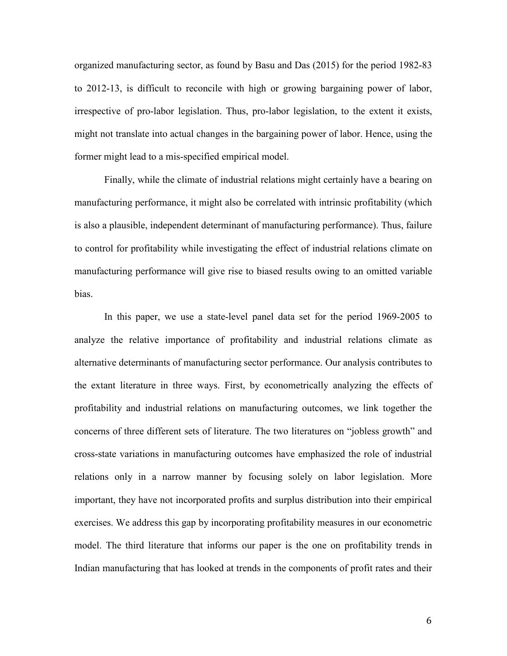organized manufacturing sector, as found by Basu and Das (2015) for the period 1982-83 to 2012-13, is difficult to reconcile with high or growing bargaining power of labor, irrespective of pro-labor legislation. Thus, pro-labor legislation, to the extent it exists, might not translate into actual changes in the bargaining power of labor. Hence, using the former might lead to a mis-specified empirical model.

Finally, while the climate of industrial relations might certainly have a bearing on manufacturing performance, it might also be correlated with intrinsic profitability (which is also a plausible, independent determinant of manufacturing performance). Thus, failure to control for profitability while investigating the effect of industrial relations climate on manufacturing performance will give rise to biased results owing to an omitted variable bias.

In this paper, we use a state-level panel data set for the period 1969-2005 to analyze the relative importance of profitability and industrial relations climate as alternative determinants of manufacturing sector performance. Our analysis contributes to the extant literature in three ways. First, by econometrically analyzing the effects of profitability and industrial relations on manufacturing outcomes, we link together the concerns of three different sets of literature. The two literatures on "jobless growth" and cross-state variations in manufacturing outcomes have emphasized the role of industrial relations only in a narrow manner by focusing solely on labor legislation. More important, they have not incorporated profits and surplus distribution into their empirical exercises. We address this gap by incorporating profitability measures in our econometric model. The third literature that informs our paper is the one on profitability trends in Indian manufacturing that has looked at trends in the components of profit rates and their

6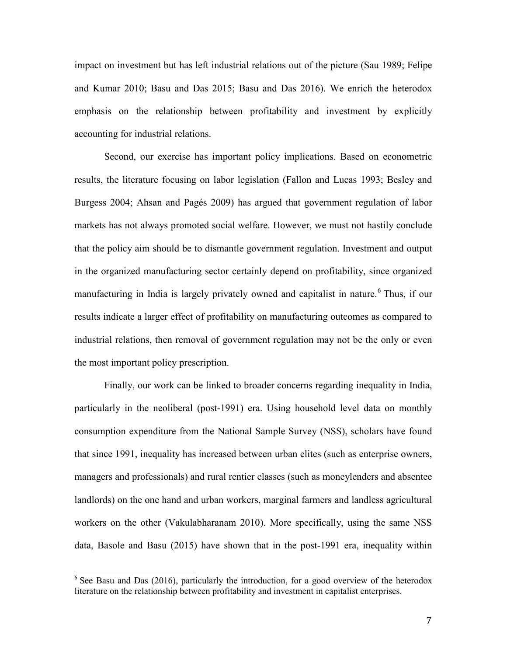impact on investment but has left industrial relations out of the picture (Sau 1989; Felipe and Kumar 2010; Basu and Das 2015; Basu and Das 2016). We enrich the heterodox emphasis on the relationship between profitability and investment by explicitly accounting for industrial relations.

Second, our exercise has important policy implications. Based on econometric results, the literature focusing on labor legislation (Fallon and Lucas 1993; Besley and Burgess 2004; Ahsan and Pagés 2009) has argued that government regulation of labor markets has not always promoted social welfare. However, we must not hastily conclude that the policy aim should be to dismantle government regulation. Investment and output in the organized manufacturing sector certainly depend on profitability, since organized manufacturing in India is largely privately owned and capitalist in nature. <sup>6</sup> Thus, if our results indicate a larger effect of profitability on manufacturing outcomes as compared to industrial relations, then removal of government regulation may not be the only or even the most important policy prescription.

Finally, our work can be linked to broader concerns regarding inequality in India, particularly in the neoliberal (post-1991) era. Using household level data on monthly consumption expenditure from the National Sample Survey (NSS), scholars have found that since 1991, inequality has increased between urban elites (such as enterprise owners, managers and professionals) and rural rentier classes (such as moneylenders and absentee landlords) on the one hand and urban workers, marginal farmers and landless agricultural workers on the other (Vakulabharanam 2010). More specifically, using the same NSS data, Basole and Basu (2015) have shown that in the post-1991 era, inequality within

 $6$  See Basu and Das (2016), particularly the introduction, for a good overview of the heterodox literature on the relationship between profitability and investment in capitalist enterprises.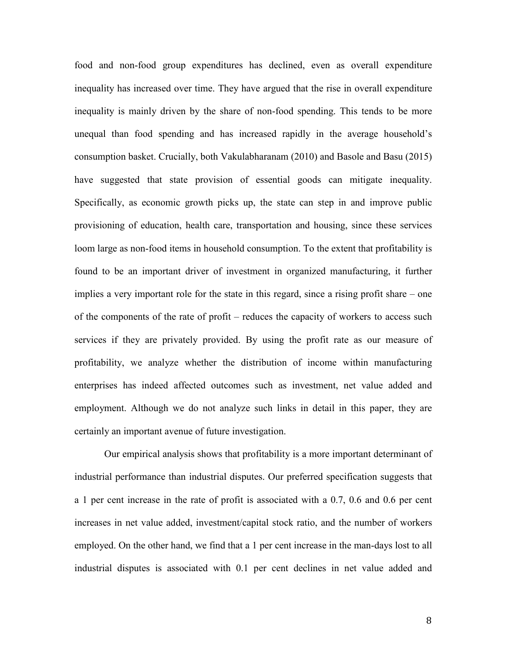food and non-food group expenditures has declined, even as overall expenditure inequality has increased over time. They have argued that the rise in overall expenditure inequality is mainly driven by the share of non-food spending. This tends to be more unequal than food spending and has increased rapidly in the average household's consumption basket. Crucially, both Vakulabharanam (2010) and Basole and Basu (2015) have suggested that state provision of essential goods can mitigate inequality. Specifically, as economic growth picks up, the state can step in and improve public provisioning of education, health care, transportation and housing, since these services loom large as non-food items in household consumption. To the extent that profitability is found to be an important driver of investment in organized manufacturing, it further implies a very important role for the state in this regard, since a rising profit share – one of the components of the rate of profit – reduces the capacity of workers to access such services if they are privately provided. By using the profit rate as our measure of profitability, we analyze whether the distribution of income within manufacturing enterprises has indeed affected outcomes such as investment, net value added and employment. Although we do not analyze such links in detail in this paper, they are certainly an important avenue of future investigation.

Our empirical analysis shows that profitability is a more important determinant of industrial performance than industrial disputes. Our preferred specification suggests that a 1 per cent increase in the rate of profit is associated with a 0.7, 0.6 and 0.6 per cent increases in net value added, investment/capital stock ratio, and the number of workers employed. On the other hand, we find that a 1 per cent increase in the man-days lost to all industrial disputes is associated with 0.1 per cent declines in net value added and

8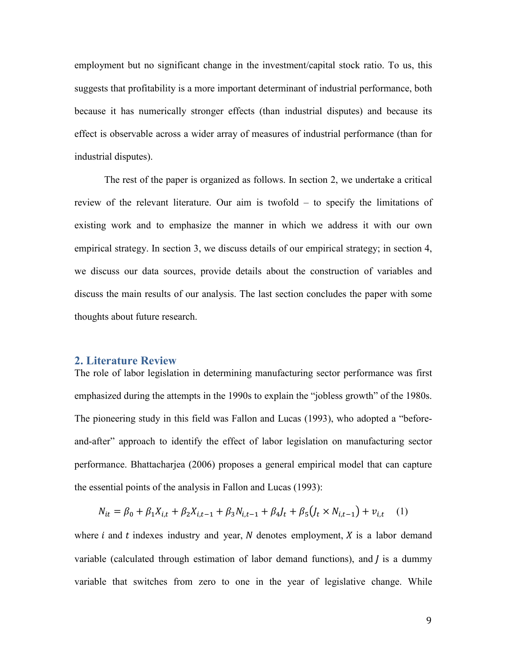employment but no significant change in the investment/capital stock ratio. To us, this suggests that profitability is a more important determinant of industrial performance, both because it has numerically stronger effects (than industrial disputes) and because its effect is observable across a wider array of measures of industrial performance (than for industrial disputes).

The rest of the paper is organized as follows. In section 2, we undertake a critical review of the relevant literature. Our aim is twofold – to specify the limitations of existing work and to emphasize the manner in which we address it with our own empirical strategy. In section 3, we discuss details of our empirical strategy; in section 4, we discuss our data sources, provide details about the construction of variables and discuss the main results of our analysis. The last section concludes the paper with some thoughts about future research.

# **2. Literature Review**

The role of labor legislation in determining manufacturing sector performance was first emphasized during the attempts in the 1990s to explain the "jobless growth" of the 1980s. The pioneering study in this field was Fallon and Lucas (1993), who adopted a "beforeand-after" approach to identify the effect of labor legislation on manufacturing sector performance. Bhattacharjea (2006) proposes a general empirical model that can capture the essential points of the analysis in Fallon and Lucas (1993):

$$
N_{it} = \beta_0 + \beta_1 X_{i,t} + \beta_2 X_{i,t-1} + \beta_3 N_{i,t-1} + \beta_4 I_t + \beta_5 (J_t \times N_{i,t-1}) + v_{i,t} \tag{1}
$$

where  $i$  and  $t$  indexes industry and year,  $N$  denotes employment,  $X$  is a labor demand variable (calculated through estimation of labor demand functions), and  *is a dummy* variable that switches from zero to one in the year of legislative change. While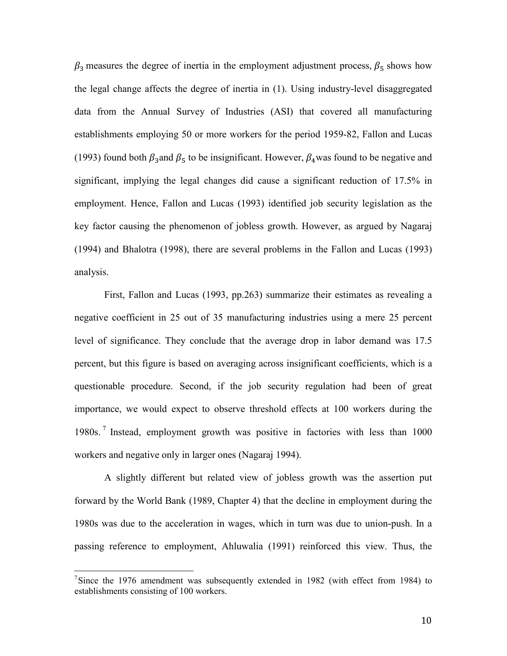$\beta_3$  measures the degree of inertia in the employment adjustment process,  $\beta_5$  shows how the legal change affects the degree of inertia in (1). Using industry-level disaggregated data from the Annual Survey of Industries (ASI) that covered all manufacturing establishments employing 50 or more workers for the period 1959-82, Fallon and Lucas (1993) found both  $\beta_3$  and  $\beta_5$  to be insignificant. However,  $\beta_4$  was found to be negative and significant, implying the legal changes did cause a significant reduction of 17.5% in employment. Hence, Fallon and Lucas (1993) identified job security legislation as the key factor causing the phenomenon of jobless growth. However, as argued by Nagaraj (1994) and Bhalotra (1998), there are several problems in the Fallon and Lucas (1993) analysis.

First, Fallon and Lucas (1993, pp.263) summarize their estimates as revealing a negative coefficient in 25 out of 35 manufacturing industries using a mere 25 percent level of significance. They conclude that the average drop in labor demand was 17.5 percent, but this figure is based on averaging across insignificant coefficients, which is a questionable procedure. Second, if the job security regulation had been of great importance, we would expect to observe threshold effects at 100 workers during the 1980s. <sup>7</sup> Instead, employment growth was positive in factories with less than 1000 workers and negative only in larger ones (Nagaraj 1994).

A slightly different but related view of jobless growth was the assertion put forward by the World Bank (1989, Chapter 4) that the decline in employment during the 1980s was due to the acceleration in wages, which in turn was due to union-push. In a passing reference to employment, Ahluwalia (1991) reinforced this view. Thus, the

<sup>-&</sup>lt;br>7  $\frac{7}{1}$ Since the 1976 amendment was subsequently extended in 1982 (with effect from 1984) to establishments consisting of 100 workers.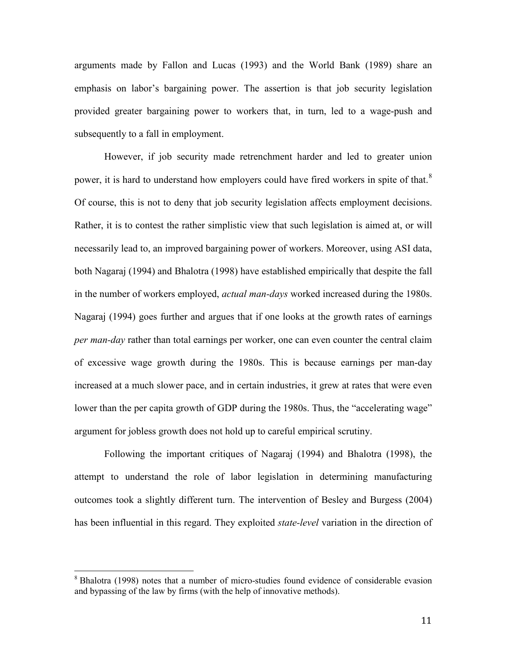arguments made by Fallon and Lucas (1993) and the World Bank (1989) share an emphasis on labor's bargaining power. The assertion is that job security legislation provided greater bargaining power to workers that, in turn, led to a wage-push and subsequently to a fall in employment.

However, if job security made retrenchment harder and led to greater union power, it is hard to understand how employers could have fired workers in spite of that.<sup>8</sup> Of course, this is not to deny that job security legislation affects employment decisions. Rather, it is to contest the rather simplistic view that such legislation is aimed at, or will necessarily lead to, an improved bargaining power of workers. Moreover, using ASI data, both Nagaraj (1994) and Bhalotra (1998) have established empirically that despite the fall in the number of workers employed, *actual man-days* worked increased during the 1980s. Nagaraj (1994) goes further and argues that if one looks at the growth rates of earnings *per man-day* rather than total earnings per worker, one can even counter the central claim of excessive wage growth during the 1980s. This is because earnings per man-day increased at a much slower pace, and in certain industries, it grew at rates that were even lower than the per capita growth of GDP during the 1980s. Thus, the "accelerating wage" argument for jobless growth does not hold up to careful empirical scrutiny.

Following the important critiques of Nagaraj (1994) and Bhalotra (1998), the attempt to understand the role of labor legislation in determining manufacturing outcomes took a slightly different turn. The intervention of Besley and Burgess (2004) has been influential in this regard. They exploited *state-level* variation in the direction of

<sup>8</sup> Bhalotra (1998) notes that a number of micro-studies found evidence of considerable evasion and bypassing of the law by firms (with the help of innovative methods).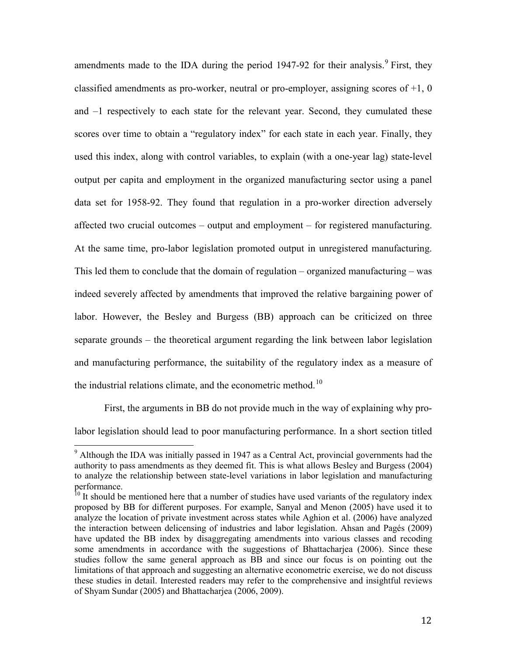amendments made to the IDA during the period  $1947-92$  for their analysis.<sup>9</sup> First, they classified amendments as pro-worker, neutral or pro-employer, assigning scores of  $+1$ , 0 and –1 respectively to each state for the relevant year. Second, they cumulated these scores over time to obtain a "regulatory index" for each state in each year. Finally, they used this index, along with control variables, to explain (with a one-year lag) state-level output per capita and employment in the organized manufacturing sector using a panel data set for 1958-92. They found that regulation in a pro-worker direction adversely affected two crucial outcomes – output and employment – for registered manufacturing. At the same time, pro-labor legislation promoted output in unregistered manufacturing. This led them to conclude that the domain of regulation – organized manufacturing – was indeed severely affected by amendments that improved the relative bargaining power of labor. However, the Besley and Burgess (BB) approach can be criticized on three separate grounds – the theoretical argument regarding the link between labor legislation and manufacturing performance, the suitability of the regulatory index as a measure of the industrial relations climate, and the econometric method.<sup>10</sup>

First, the arguments in BB do not provide much in the way of explaining why pro-

labor legislation should lead to poor manufacturing performance. In a short section titled

 $9$  Although the IDA was initially passed in 1947 as a Central Act, provincial governments had the authority to pass amendments as they deemed fit. This is what allows Besley and Burgess (2004) to analyze the relationship between state-level variations in labor legislation and manufacturing performance.

 $10<sup>10</sup>$  It should be mentioned here that a number of studies have used variants of the regulatory index proposed by BB for different purposes. For example, Sanyal and Menon (2005) have used it to analyze the location of private investment across states while Aghion et al. (2006) have analyzed the interaction between delicensing of industries and labor legislation. Ahsan and Pagés (2009) have updated the BB index by disaggregating amendments into various classes and recoding some amendments in accordance with the suggestions of Bhattacharjea (2006). Since these studies follow the same general approach as BB and since our focus is on pointing out the limitations of that approach and suggesting an alternative econometric exercise, we do not discuss these studies in detail. Interested readers may refer to the comprehensive and insightful reviews of Shyam Sundar (2005) and Bhattacharjea (2006, 2009).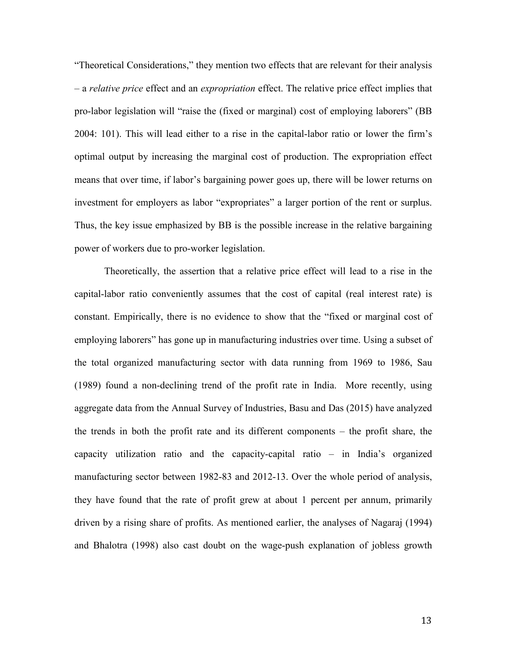"Theoretical Considerations," they mention two effects that are relevant for their analysis – a *relative price* effect and an *expropriation* effect. The relative price effect implies that pro-labor legislation will "raise the (fixed or marginal) cost of employing laborers" (BB 2004: 101). This will lead either to a rise in the capital-labor ratio or lower the firm's optimal output by increasing the marginal cost of production. The expropriation effect means that over time, if labor's bargaining power goes up, there will be lower returns on investment for employers as labor "expropriates" a larger portion of the rent or surplus. Thus, the key issue emphasized by BB is the possible increase in the relative bargaining power of workers due to pro-worker legislation.

Theoretically, the assertion that a relative price effect will lead to a rise in the capital-labor ratio conveniently assumes that the cost of capital (real interest rate) is constant. Empirically, there is no evidence to show that the "fixed or marginal cost of employing laborers" has gone up in manufacturing industries over time. Using a subset of the total organized manufacturing sector with data running from 1969 to 1986, Sau (1989) found a non-declining trend of the profit rate in India. More recently, using aggregate data from the Annual Survey of Industries, Basu and Das (2015) have analyzed the trends in both the profit rate and its different components – the profit share, the capacity utilization ratio and the capacity-capital ratio – in India's organized manufacturing sector between 1982-83 and 2012-13. Over the whole period of analysis, they have found that the rate of profit grew at about 1 percent per annum, primarily driven by a rising share of profits. As mentioned earlier, the analyses of Nagaraj (1994) and Bhalotra (1998) also cast doubt on the wage-push explanation of jobless growth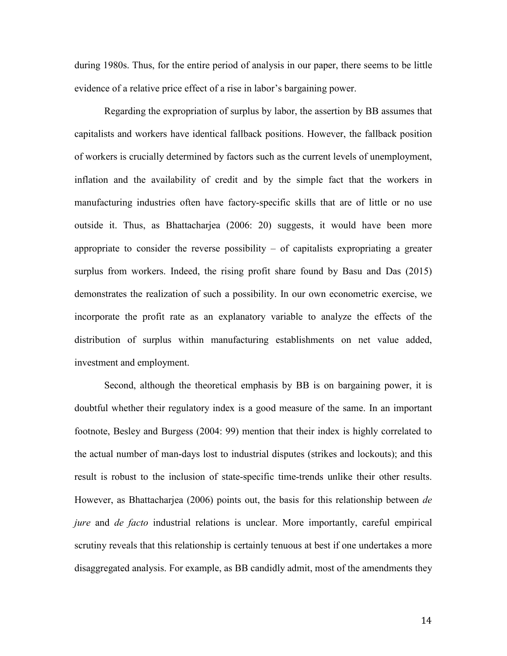during 1980s. Thus, for the entire period of analysis in our paper, there seems to be little evidence of a relative price effect of a rise in labor's bargaining power.

Regarding the expropriation of surplus by labor, the assertion by BB assumes that capitalists and workers have identical fallback positions. However, the fallback position of workers is crucially determined by factors such as the current levels of unemployment, inflation and the availability of credit and by the simple fact that the workers in manufacturing industries often have factory-specific skills that are of little or no use outside it. Thus, as Bhattacharjea (2006: 20) suggests, it would have been more appropriate to consider the reverse possibility  $-$  of capitalists expropriating a greater surplus from workers. Indeed, the rising profit share found by Basu and Das (2015) demonstrates the realization of such a possibility. In our own econometric exercise, we incorporate the profit rate as an explanatory variable to analyze the effects of the distribution of surplus within manufacturing establishments on net value added, investment and employment.

Second, although the theoretical emphasis by BB is on bargaining power, it is doubtful whether their regulatory index is a good measure of the same. In an important footnote, Besley and Burgess (2004: 99) mention that their index is highly correlated to the actual number of man-days lost to industrial disputes (strikes and lockouts); and this result is robust to the inclusion of state-specific time-trends unlike their other results. However, as Bhattacharjea (2006) points out, the basis for this relationship between *de jure* and *de facto* industrial relations is unclear. More importantly, careful empirical scrutiny reveals that this relationship is certainly tenuous at best if one undertakes a more disaggregated analysis. For example, as BB candidly admit, most of the amendments they

14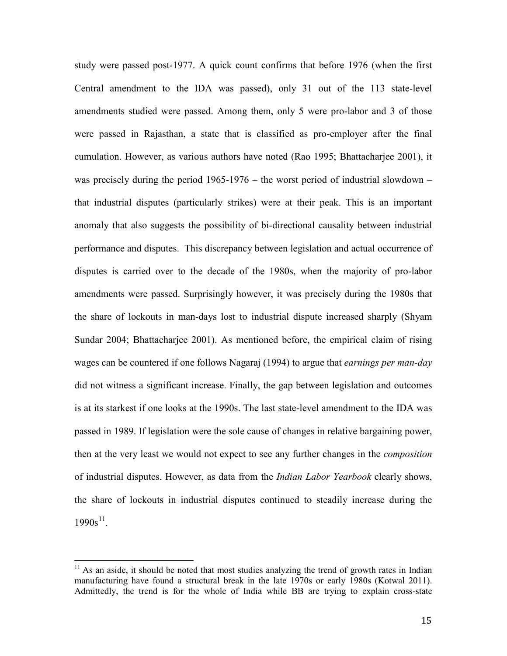study were passed post-1977. A quick count confirms that before 1976 (when the first Central amendment to the IDA was passed), only 31 out of the 113 state-level amendments studied were passed. Among them, only 5 were pro-labor and 3 of those were passed in Rajasthan, a state that is classified as pro-employer after the final cumulation. However, as various authors have noted (Rao 1995; Bhattacharjee 2001), it was precisely during the period 1965-1976 – the worst period of industrial slowdown – that industrial disputes (particularly strikes) were at their peak. This is an important anomaly that also suggests the possibility of bi-directional causality between industrial performance and disputes. This discrepancy between legislation and actual occurrence of disputes is carried over to the decade of the 1980s, when the majority of pro-labor amendments were passed. Surprisingly however, it was precisely during the 1980s that the share of lockouts in man-days lost to industrial dispute increased sharply (Shyam Sundar 2004; Bhattacharjee 2001). As mentioned before, the empirical claim of rising wages can be countered if one follows Nagaraj (1994) to argue that *earnings per man-day* did not witness a significant increase. Finally, the gap between legislation and outcomes is at its starkest if one looks at the 1990s. The last state-level amendment to the IDA was passed in 1989. If legislation were the sole cause of changes in relative bargaining power, then at the very least we would not expect to see any further changes in the *composition* of industrial disputes. However, as data from the *Indian Labor Yearbook* clearly shows, the share of lockouts in industrial disputes continued to steadily increase during the  $1990s^{11}$ .

<sup>&</sup>lt;sup>11</sup> As an aside, it should be noted that most studies analyzing the trend of growth rates in Indian manufacturing have found a structural break in the late 1970s or early 1980s (Kotwal 2011). Admittedly, the trend is for the whole of India while BB are trying to explain cross-state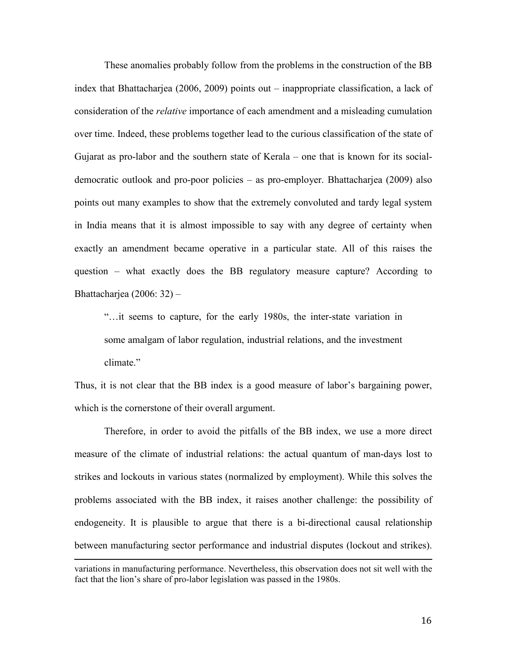These anomalies probably follow from the problems in the construction of the BB index that Bhattacharjea (2006, 2009) points out – inappropriate classification, a lack of consideration of the *relative* importance of each amendment and a misleading cumulation over time. Indeed, these problems together lead to the curious classification of the state of Gujarat as pro-labor and the southern state of Kerala – one that is known for its socialdemocratic outlook and pro-poor policies – as pro-employer. Bhattacharjea (2009) also points out many examples to show that the extremely convoluted and tardy legal system in India means that it is almost impossible to say with any degree of certainty when exactly an amendment became operative in a particular state. All of this raises the question – what exactly does the BB regulatory measure capture? According to Bhattacharjea (2006: 32) –

"…it seems to capture, for the early 1980s, the inter-state variation in some amalgam of labor regulation, industrial relations, and the investment climate."

Thus, it is not clear that the BB index is a good measure of labor's bargaining power, which is the cornerstone of their overall argument.

Therefore, in order to avoid the pitfalls of the BB index, we use a more direct measure of the climate of industrial relations: the actual quantum of man-days lost to strikes and lockouts in various states (normalized by employment). While this solves the problems associated with the BB index, it raises another challenge: the possibility of endogeneity. It is plausible to argue that there is a bi-directional causal relationship between manufacturing sector performance and industrial disputes (lockout and strikes).

 $\overline{a}$ 

variations in manufacturing performance. Nevertheless, this observation does not sit well with the fact that the lion's share of pro-labor legislation was passed in the 1980s.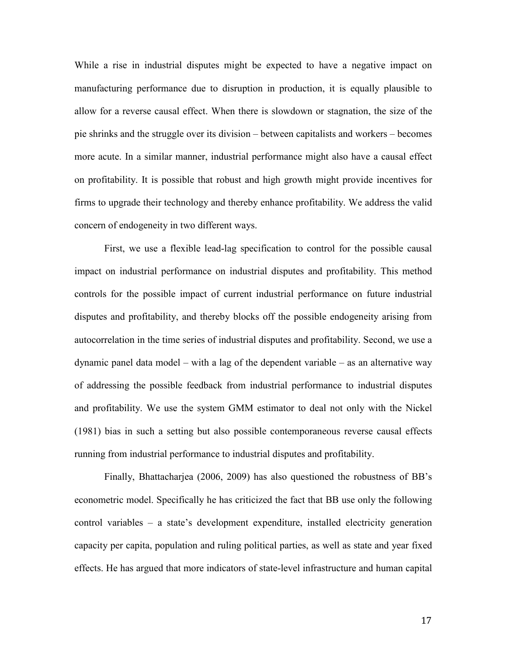While a rise in industrial disputes might be expected to have a negative impact on manufacturing performance due to disruption in production, it is equally plausible to allow for a reverse causal effect. When there is slowdown or stagnation, the size of the pie shrinks and the struggle over its division – between capitalists and workers – becomes more acute. In a similar manner, industrial performance might also have a causal effect on profitability. It is possible that robust and high growth might provide incentives for firms to upgrade their technology and thereby enhance profitability. We address the valid concern of endogeneity in two different ways.

First, we use a flexible lead-lag specification to control for the possible causal impact on industrial performance on industrial disputes and profitability. This method controls for the possible impact of current industrial performance on future industrial disputes and profitability, and thereby blocks off the possible endogeneity arising from autocorrelation in the time series of industrial disputes and profitability. Second, we use a dynamic panel data model – with a lag of the dependent variable – as an alternative way of addressing the possible feedback from industrial performance to industrial disputes and profitability. We use the system GMM estimator to deal not only with the Nickel (1981) bias in such a setting but also possible contemporaneous reverse causal effects running from industrial performance to industrial disputes and profitability.

Finally, Bhattacharjea (2006, 2009) has also questioned the robustness of BB's econometric model. Specifically he has criticized the fact that BB use only the following control variables – a state's development expenditure, installed electricity generation capacity per capita, population and ruling political parties, as well as state and year fixed effects. He has argued that more indicators of state-level infrastructure and human capital

17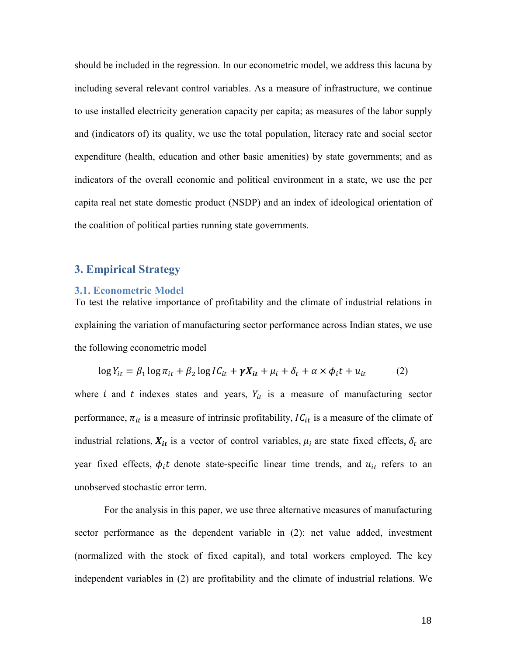should be included in the regression. In our econometric model, we address this lacuna by including several relevant control variables. As a measure of infrastructure, we continue to use installed electricity generation capacity per capita; as measures of the labor supply and (indicators of) its quality, we use the total population, literacy rate and social sector expenditure (health, education and other basic amenities) by state governments; and as indicators of the overall economic and political environment in a state, we use the per capita real net state domestic product (NSDP) and an index of ideological orientation of the coalition of political parties running state governments.

# **3. Empirical Strategy**

#### **3.1. Econometric Model**

To test the relative importance of profitability and the climate of industrial relations in explaining the variation of manufacturing sector performance across Indian states, we use the following econometric model

$$
\log Y_{it} = \beta_1 \log \pi_{it} + \beta_2 \log IC_{it} + \gamma X_{it} + \mu_i + \delta_t + \alpha \times \phi_i t + u_{it} \tag{2}
$$

where *i* and *t* indexes states and years,  $Y_{it}$  is a measure of manufacturing sector performance,  $\pi_{it}$  is a measure of intrinsic profitability,  $IC_{it}$  is a measure of the climate of industrial relations,  $X_{it}$  is a vector of control variables,  $\mu_i$  are state fixed effects,  $\delta_t$  are year fixed effects,  $\phi_i t$  denote state-specific linear time trends, and  $u_{it}$  refers to an unobserved stochastic error term.

For the analysis in this paper, we use three alternative measures of manufacturing sector performance as the dependent variable in (2): net value added, investment (normalized with the stock of fixed capital), and total workers employed. The key independent variables in (2) are profitability and the climate of industrial relations. We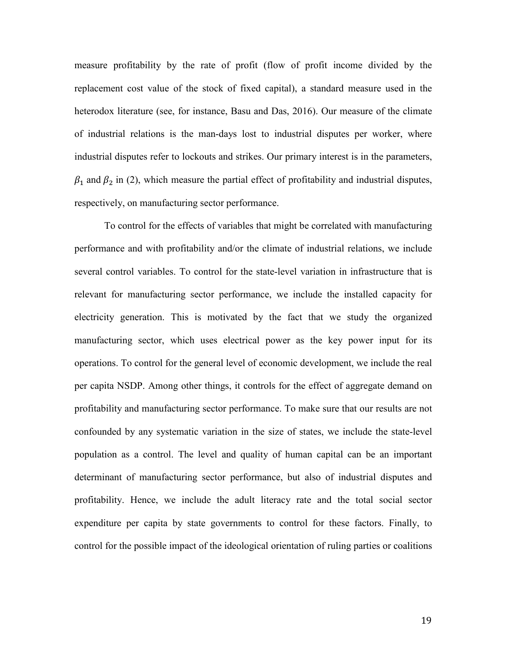measure profitability by the rate of profit (flow of profit income divided by the replacement cost value of the stock of fixed capital), a standard measure used in the heterodox literature (see, for instance, Basu and Das, 2016). Our measure of the climate of industrial relations is the man-days lost to industrial disputes per worker, where industrial disputes refer to lockouts and strikes. Our primary interest is in the parameters,  $\beta_1$  and  $\beta_2$  in (2), which measure the partial effect of profitability and industrial disputes, respectively, on manufacturing sector performance.

To control for the effects of variables that might be correlated with manufacturing performance and with profitability and/or the climate of industrial relations, we include several control variables. To control for the state-level variation in infrastructure that is relevant for manufacturing sector performance, we include the installed capacity for electricity generation. This is motivated by the fact that we study the organized manufacturing sector, which uses electrical power as the key power input for its operations. To control for the general level of economic development, we include the real per capita NSDP. Among other things, it controls for the effect of aggregate demand on profitability and manufacturing sector performance. To make sure that our results are not confounded by any systematic variation in the size of states, we include the state-level population as a control. The level and quality of human capital can be an important determinant of manufacturing sector performance, but also of industrial disputes and profitability. Hence, we include the adult literacy rate and the total social sector expenditure per capita by state governments to control for these factors. Finally, to control for the possible impact of the ideological orientation of ruling parties or coalitions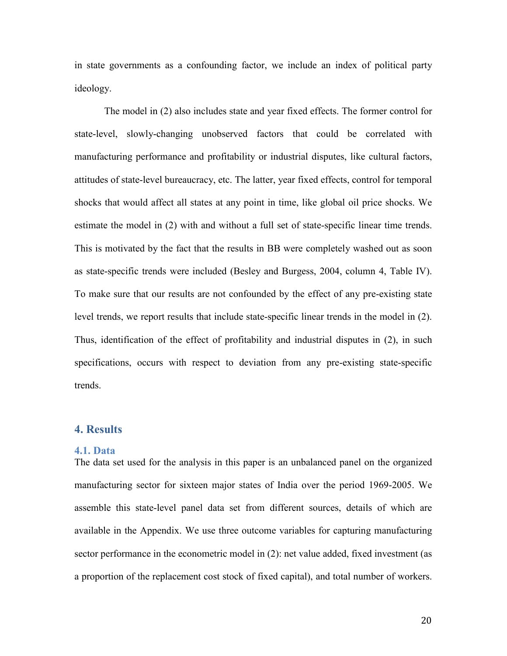in state governments as a confounding factor, we include an index of political party ideology.

The model in (2) also includes state and year fixed effects. The former control for state-level, slowly-changing unobserved factors that could be correlated with manufacturing performance and profitability or industrial disputes, like cultural factors, attitudes of state-level bureaucracy, etc. The latter, year fixed effects, control for temporal shocks that would affect all states at any point in time, like global oil price shocks. We estimate the model in (2) with and without a full set of state-specific linear time trends. This is motivated by the fact that the results in BB were completely washed out as soon as state-specific trends were included (Besley and Burgess, 2004, column 4, Table IV). To make sure that our results are not confounded by the effect of any pre-existing state level trends, we report results that include state-specific linear trends in the model in (2). Thus, identification of the effect of profitability and industrial disputes in (2), in such specifications, occurs with respect to deviation from any pre-existing state-specific trends.

# **4. Results**

#### **4.1. Data**

The data set used for the analysis in this paper is an unbalanced panel on the organized manufacturing sector for sixteen major states of India over the period 1969-2005. We assemble this state-level panel data set from different sources, details of which are available in the Appendix. We use three outcome variables for capturing manufacturing sector performance in the econometric model in (2): net value added, fixed investment (as a proportion of the replacement cost stock of fixed capital), and total number of workers.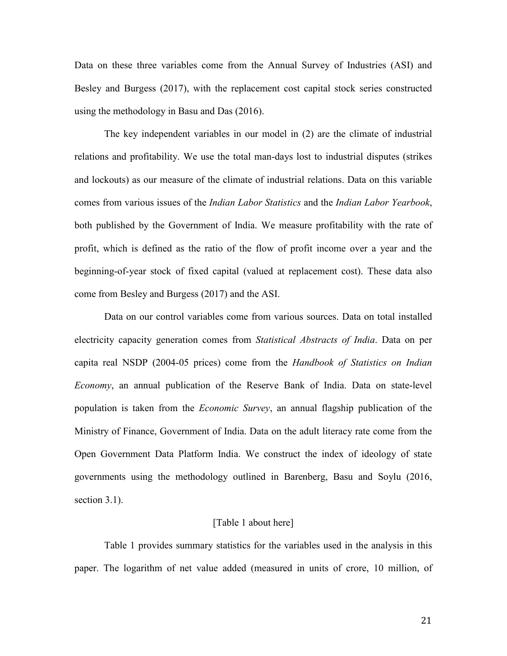Data on these three variables come from the Annual Survey of Industries (ASI) and Besley and Burgess (2017), with the replacement cost capital stock series constructed using the methodology in Basu and Das (2016).

The key independent variables in our model in (2) are the climate of industrial relations and profitability. We use the total man-days lost to industrial disputes (strikes and lockouts) as our measure of the climate of industrial relations. Data on this variable comes from various issues of the *Indian Labor Statistics* and the *Indian Labor Yearbook*, both published by the Government of India. We measure profitability with the rate of profit, which is defined as the ratio of the flow of profit income over a year and the beginning-of-year stock of fixed capital (valued at replacement cost). These data also come from Besley and Burgess (2017) and the ASI.

Data on our control variables come from various sources. Data on total installed electricity capacity generation comes from *Statistical Abstracts of India*. Data on per capita real NSDP (2004-05 prices) come from the *Handbook of Statistics on Indian Economy*, an annual publication of the Reserve Bank of India. Data on state-level population is taken from the *Economic Survey*, an annual flagship publication of the Ministry of Finance, Government of India. Data on the adult literacy rate come from the Open Government Data Platform India. We construct the index of ideology of state governments using the methodology outlined in Barenberg, Basu and Soylu (2016, section 3.1).

#### [Table 1 about here]

Table 1 provides summary statistics for the variables used in the analysis in this paper. The logarithm of net value added (measured in units of crore, 10 million, of

21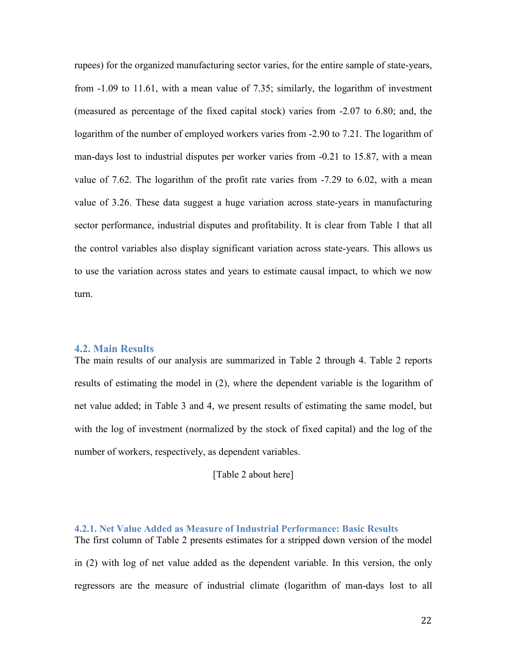rupees) for the organized manufacturing sector varies, for the entire sample of state-years, from -1.09 to 11.61, with a mean value of 7.35; similarly, the logarithm of investment (measured as percentage of the fixed capital stock) varies from -2.07 to 6.80; and, the logarithm of the number of employed workers varies from -2.90 to 7.21. The logarithm of man-days lost to industrial disputes per worker varies from -0.21 to 15.87, with a mean value of 7.62. The logarithm of the profit rate varies from -7.29 to 6.02, with a mean value of 3.26. These data suggest a huge variation across state-years in manufacturing sector performance, industrial disputes and profitability. It is clear from Table 1 that all the control variables also display significant variation across state-years. This allows us to use the variation across states and years to estimate causal impact, to which we now turn.

#### **4.2. Main Results**

The main results of our analysis are summarized in Table 2 through 4. Table 2 reports results of estimating the model in (2), where the dependent variable is the logarithm of net value added; in Table 3 and 4, we present results of estimating the same model, but with the log of investment (normalized by the stock of fixed capital) and the log of the number of workers, respectively, as dependent variables.

[Table 2 about here]

**4.2.1. Net Value Added as Measure of Industrial Performance: Basic Results** The first column of Table 2 presents estimates for a stripped down version of the model in (2) with log of net value added as the dependent variable. In this version, the only regressors are the measure of industrial climate (logarithm of man-days lost to all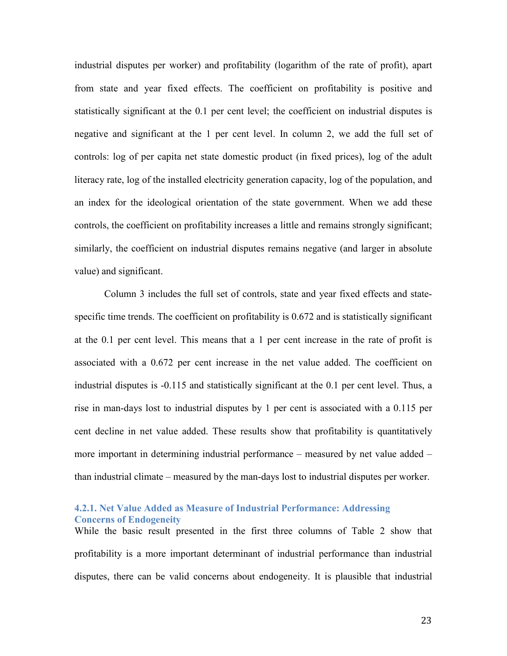industrial disputes per worker) and profitability (logarithm of the rate of profit), apart from state and year fixed effects. The coefficient on profitability is positive and statistically significant at the 0.1 per cent level; the coefficient on industrial disputes is negative and significant at the 1 per cent level. In column 2, we add the full set of controls: log of per capita net state domestic product (in fixed prices), log of the adult literacy rate, log of the installed electricity generation capacity, log of the population, and an index for the ideological orientation of the state government. When we add these controls, the coefficient on profitability increases a little and remains strongly significant; similarly, the coefficient on industrial disputes remains negative (and larger in absolute value) and significant.

Column 3 includes the full set of controls, state and year fixed effects and statespecific time trends. The coefficient on profitability is 0.672 and is statistically significant at the 0.1 per cent level. This means that a 1 per cent increase in the rate of profit is associated with a 0.672 per cent increase in the net value added. The coefficient on industrial disputes is -0.115 and statistically significant at the 0.1 per cent level. Thus, a rise in man-days lost to industrial disputes by 1 per cent is associated with a 0.115 per cent decline in net value added. These results show that profitability is quantitatively more important in determining industrial performance – measured by net value added – than industrial climate – measured by the man-days lost to industrial disputes per worker.

# **4.2.1. Net Value Added as Measure of Industrial Performance: Addressing Concerns of Endogeneity**

While the basic result presented in the first three columns of Table 2 show that profitability is a more important determinant of industrial performance than industrial disputes, there can be valid concerns about endogeneity. It is plausible that industrial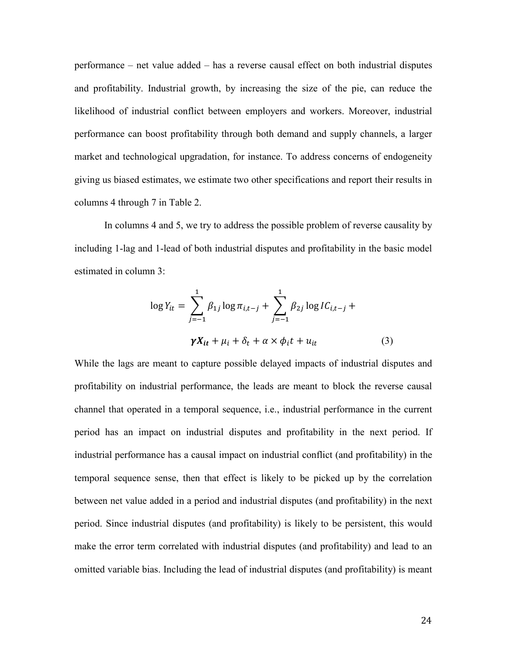performance – net value added – has a reverse causal effect on both industrial disputes and profitability. Industrial growth, by increasing the size of the pie, can reduce the likelihood of industrial conflict between employers and workers. Moreover, industrial performance can boost profitability through both demand and supply channels, a larger market and technological upgradation, for instance. To address concerns of endogeneity giving us biased estimates, we estimate two other specifications and report their results in columns 4 through 7 in Table 2.

In columns 4 and 5, we try to address the possible problem of reverse causality by including 1-lag and 1-lead of both industrial disputes and profitability in the basic model estimated in column 3:

$$
\log Y_{it} = \sum_{j=-1}^{1} \beta_{1j} \log \pi_{i,t-j} + \sum_{j=-1}^{1} \beta_{2j} \log IC_{i,t-j} + \gamma X_{it} + \mu_i + \delta_t + \alpha \times \phi_i t + u_{it}
$$
(3)

While the lags are meant to capture possible delayed impacts of industrial disputes and profitability on industrial performance, the leads are meant to block the reverse causal channel that operated in a temporal sequence, i.e., industrial performance in the current period has an impact on industrial disputes and profitability in the next period. If industrial performance has a causal impact on industrial conflict (and profitability) in the temporal sequence sense, then that effect is likely to be picked up by the correlation between net value added in a period and industrial disputes (and profitability) in the next period. Since industrial disputes (and profitability) is likely to be persistent, this would make the error term correlated with industrial disputes (and profitability) and lead to an omitted variable bias. Including the lead of industrial disputes (and profitability) is meant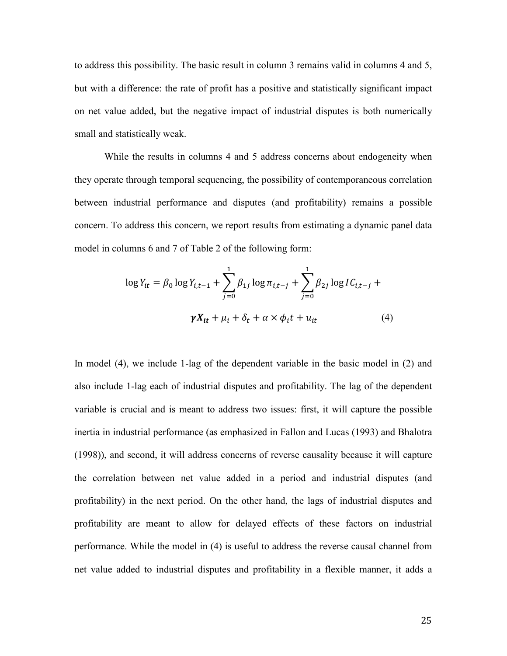to address this possibility. The basic result in column 3 remains valid in columns 4 and 5, but with a difference: the rate of profit has a positive and statistically significant impact on net value added, but the negative impact of industrial disputes is both numerically small and statistically weak.

While the results in columns 4 and 5 address concerns about endogeneity when they operate through temporal sequencing, the possibility of contemporaneous correlation between industrial performance and disputes (and profitability) remains a possible concern. To address this concern, we report results from estimating a dynamic panel data model in columns 6 and 7 of Table 2 of the following form:

$$
\log Y_{it} = \beta_0 \log Y_{i,t-1} + \sum_{j=0}^{1} \beta_{1j} \log \pi_{i,t-j} + \sum_{j=0}^{1} \beta_{2j} \log IC_{i,t-j} + \gamma X_{it} + \mu_i + \delta_t + \alpha \times \phi_i t + u_{it}
$$
(4)

In model (4), we include 1-lag of the dependent variable in the basic model in (2) and also include 1-lag each of industrial disputes and profitability. The lag of the dependent variable is crucial and is meant to address two issues: first, it will capture the possible inertia in industrial performance (as emphasized in Fallon and Lucas (1993) and Bhalotra (1998)), and second, it will address concerns of reverse causality because it will capture the correlation between net value added in a period and industrial disputes (and profitability) in the next period. On the other hand, the lags of industrial disputes and profitability are meant to allow for delayed effects of these factors on industrial performance. While the model in (4) is useful to address the reverse causal channel from net value added to industrial disputes and profitability in a flexible manner, it adds a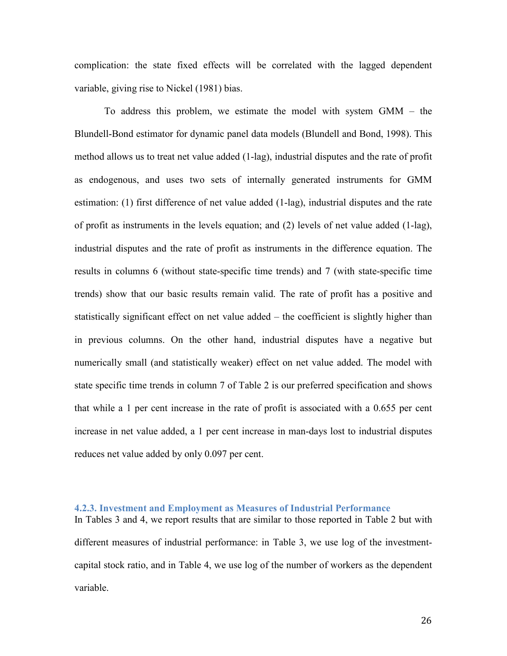complication: the state fixed effects will be correlated with the lagged dependent variable, giving rise to Nickel (1981) bias.

To address this problem, we estimate the model with system GMM – the Blundell-Bond estimator for dynamic panel data models (Blundell and Bond, 1998). This method allows us to treat net value added (1-lag), industrial disputes and the rate of profit as endogenous, and uses two sets of internally generated instruments for GMM estimation: (1) first difference of net value added (1-lag), industrial disputes and the rate of profit as instruments in the levels equation; and (2) levels of net value added (1-lag), industrial disputes and the rate of profit as instruments in the difference equation. The results in columns 6 (without state-specific time trends) and 7 (with state-specific time trends) show that our basic results remain valid. The rate of profit has a positive and statistically significant effect on net value added – the coefficient is slightly higher than in previous columns. On the other hand, industrial disputes have a negative but numerically small (and statistically weaker) effect on net value added. The model with state specific time trends in column 7 of Table 2 is our preferred specification and shows that while a 1 per cent increase in the rate of profit is associated with a 0.655 per cent increase in net value added, a 1 per cent increase in man-days lost to industrial disputes reduces net value added by only 0.097 per cent.

# **4.2.3. Investment and Employment as Measures of Industrial Performance**

In Tables 3 and 4, we report results that are similar to those reported in Table 2 but with different measures of industrial performance: in Table 3, we use log of the investmentcapital stock ratio, and in Table 4, we use log of the number of workers as the dependent variable.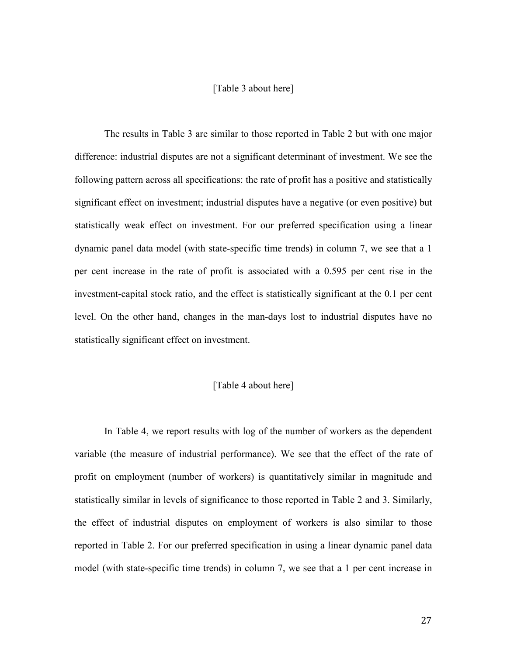## [Table 3 about here]

The results in Table 3 are similar to those reported in Table 2 but with one major difference: industrial disputes are not a significant determinant of investment. We see the following pattern across all specifications: the rate of profit has a positive and statistically significant effect on investment; industrial disputes have a negative (or even positive) but statistically weak effect on investment. For our preferred specification using a linear dynamic panel data model (with state-specific time trends) in column 7, we see that a 1 per cent increase in the rate of profit is associated with a 0.595 per cent rise in the investment-capital stock ratio, and the effect is statistically significant at the 0.1 per cent level. On the other hand, changes in the man-days lost to industrial disputes have no statistically significant effect on investment.

# [Table 4 about here]

In Table 4, we report results with log of the number of workers as the dependent variable (the measure of industrial performance). We see that the effect of the rate of profit on employment (number of workers) is quantitatively similar in magnitude and statistically similar in levels of significance to those reported in Table 2 and 3. Similarly, the effect of industrial disputes on employment of workers is also similar to those reported in Table 2. For our preferred specification in using a linear dynamic panel data model (with state-specific time trends) in column 7, we see that a 1 per cent increase in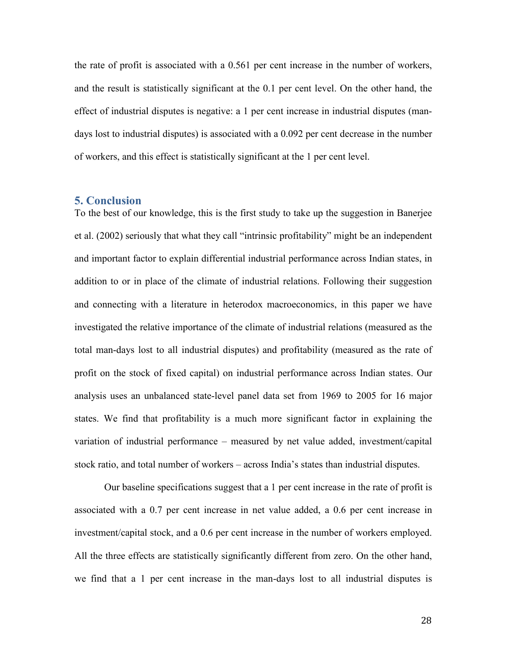the rate of profit is associated with a 0.561 per cent increase in the number of workers, and the result is statistically significant at the 0.1 per cent level. On the other hand, the effect of industrial disputes is negative: a 1 per cent increase in industrial disputes (mandays lost to industrial disputes) is associated with a 0.092 per cent decrease in the number of workers, and this effect is statistically significant at the 1 per cent level.

# **5. Conclusion**

To the best of our knowledge, this is the first study to take up the suggestion in Banerjee et al. (2002) seriously that what they call "intrinsic profitability" might be an independent and important factor to explain differential industrial performance across Indian states, in addition to or in place of the climate of industrial relations. Following their suggestion and connecting with a literature in heterodox macroeconomics, in this paper we have investigated the relative importance of the climate of industrial relations (measured as the total man-days lost to all industrial disputes) and profitability (measured as the rate of profit on the stock of fixed capital) on industrial performance across Indian states. Our analysis uses an unbalanced state-level panel data set from 1969 to 2005 for 16 major states. We find that profitability is a much more significant factor in explaining the variation of industrial performance – measured by net value added, investment/capital stock ratio, and total number of workers – across India's states than industrial disputes.

Our baseline specifications suggest that a 1 per cent increase in the rate of profit is associated with a 0.7 per cent increase in net value added, a 0.6 per cent increase in investment/capital stock, and a 0.6 per cent increase in the number of workers employed. All the three effects are statistically significantly different from zero. On the other hand, we find that a 1 per cent increase in the man-days lost to all industrial disputes is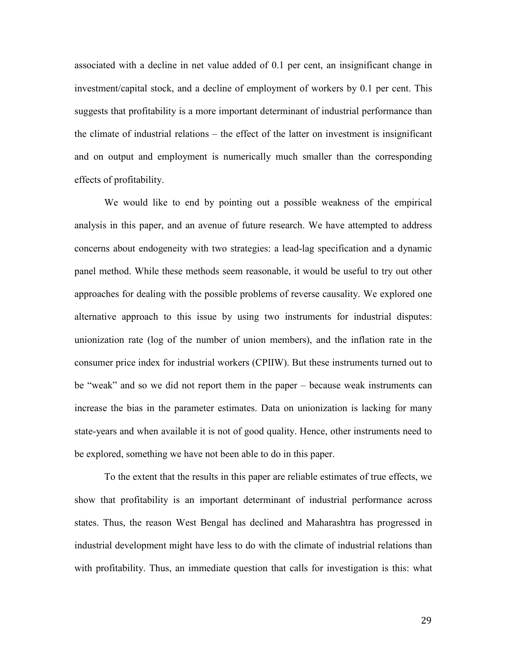associated with a decline in net value added of 0.1 per cent, an insignificant change in investment/capital stock, and a decline of employment of workers by 0.1 per cent. This suggests that profitability is a more important determinant of industrial performance than the climate of industrial relations – the effect of the latter on investment is insignificant and on output and employment is numerically much smaller than the corresponding effects of profitability.

We would like to end by pointing out a possible weakness of the empirical analysis in this paper, and an avenue of future research. We have attempted to address concerns about endogeneity with two strategies: a lead-lag specification and a dynamic panel method. While these methods seem reasonable, it would be useful to try out other approaches for dealing with the possible problems of reverse causality. We explored one alternative approach to this issue by using two instruments for industrial disputes: unionization rate (log of the number of union members), and the inflation rate in the consumer price index for industrial workers (CPIIW). But these instruments turned out to be "weak" and so we did not report them in the paper – because weak instruments can increase the bias in the parameter estimates. Data on unionization is lacking for many state-years and when available it is not of good quality. Hence, other instruments need to be explored, something we have not been able to do in this paper.

To the extent that the results in this paper are reliable estimates of true effects, we show that profitability is an important determinant of industrial performance across states. Thus, the reason West Bengal has declined and Maharashtra has progressed in industrial development might have less to do with the climate of industrial relations than with profitability. Thus, an immediate question that calls for investigation is this: what

29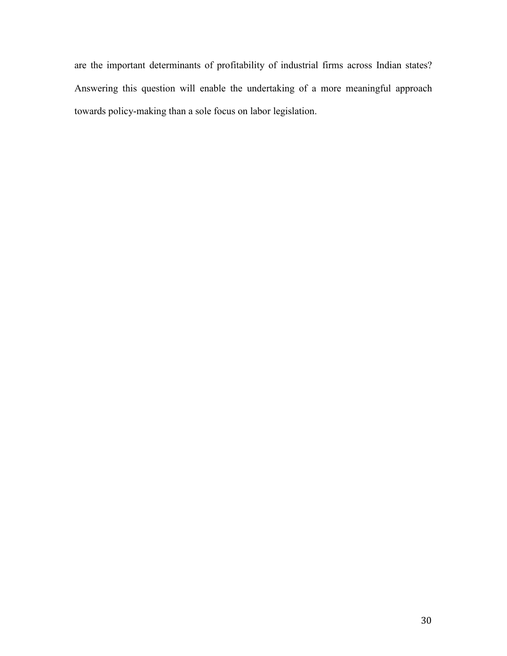are the important determinants of profitability of industrial firms across Indian states? Answering this question will enable the undertaking of a more meaningful approach towards policy-making than a sole focus on labor legislation.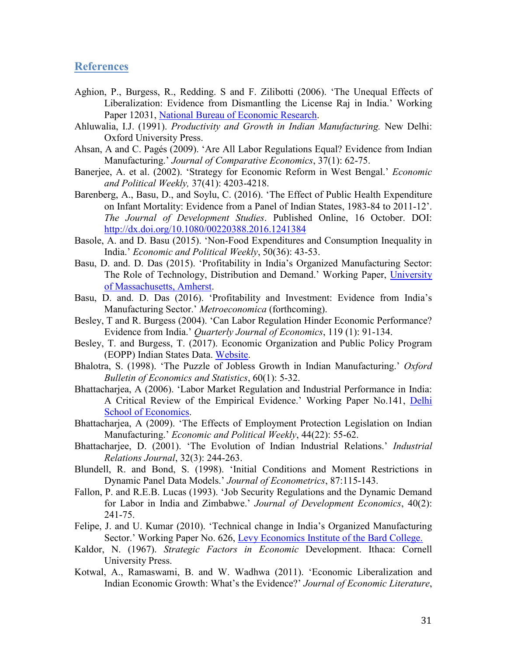# **References**

- Aghion, P., Burgess, R., Redding. S and F. Zilibotti (2006). 'The Unequal Effects of Liberalization: Evidence from Dismantling the License Raj in India.' Working Paper 12031, National Bureau of Economic Research.
- Ahluwalia, I.J. (1991). *Productivity and Growth in Indian Manufacturing.* New Delhi: Oxford University Press.
- Ahsan, A and C. Pagés (2009). 'Are All Labor Regulations Equal? Evidence from Indian Manufacturing.' *Journal of Comparative Economics*, 37(1): 62-75.
- Banerjee, A. et al. (2002). 'Strategy for Economic Reform in West Bengal.' *Economic and Political Weekly,* 37(41): 4203-4218.
- Barenberg, A., Basu, D., and Soylu, C. (2016). 'The Effect of Public Health Expenditure on Infant Mortality: Evidence from a Panel of Indian States, 1983-84 to 2011-12'. *The Journal of Development Studies*. Published Online, 16 October. DOI: http://dx.doi.org/10.1080/00220388.2016.1241384
- Basole, A. and D. Basu (2015). 'Non-Food Expenditures and Consumption Inequality in India.' *Economic and Political Weekly*, 50(36): 43-53.
- Basu, D. and. D. Das (2015). 'Profitability in India's Organized Manufacturing Sector: The Role of Technology, Distribution and Demand.' Working Paper, University of Massachusetts, Amherst.
- Basu, D. and. D. Das (2016). 'Profitability and Investment: Evidence from India's Manufacturing Sector.' *Metroeconomica* (forthcoming).
- Besley, T and R. Burgess (2004). 'Can Labor Regulation Hinder Economic Performance? Evidence from India.' *Quarterly Journal of Economics*, 119 (1): 91-134.
- Besley, T. and Burgess, T. (2017). Economic Organization and Public Policy Program (EOPP) Indian States Data. Website.
- Bhalotra, S. (1998). 'The Puzzle of Jobless Growth in Indian Manufacturing.' *Oxford Bulletin of Economics and Statistics*, 60(1): 5-32.
- Bhattacharjea, A (2006). 'Labor Market Regulation and Industrial Performance in India: A Critical Review of the Empirical Evidence.' Working Paper No.141, Delhi School of Economics.
- Bhattacharjea, A (2009). 'The Effects of Employment Protection Legislation on Indian Manufacturing.' *Economic and Political Weekly*, 44(22): 55-62.
- Bhattacharjee, D. (2001). 'The Evolution of Indian Industrial Relations.' *Industrial Relations Journal*, 32(3): 244-263.
- Blundell, R. and Bond, S. (1998). 'Initial Conditions and Moment Restrictions in Dynamic Panel Data Models.' *Journal of Econometrics*, 87:115-143.
- Fallon, P. and R.E.B. Lucas (1993). 'Job Security Regulations and the Dynamic Demand for Labor in India and Zimbabwe.' *Journal of Development Economics*, 40(2): 241-75.
- Felipe, J. and U. Kumar (2010). 'Technical change in India's Organized Manufacturing Sector.' Working Paper No. 626, Levy Economics Institute of the Bard College.
- Kaldor, N. (1967). *Strategic Factors in Economic* Development. Ithaca: Cornell University Press.
- Kotwal, A., Ramaswami, B. and W. Wadhwa (2011). 'Economic Liberalization and Indian Economic Growth: What's the Evidence?' *Journal of Economic Literature*,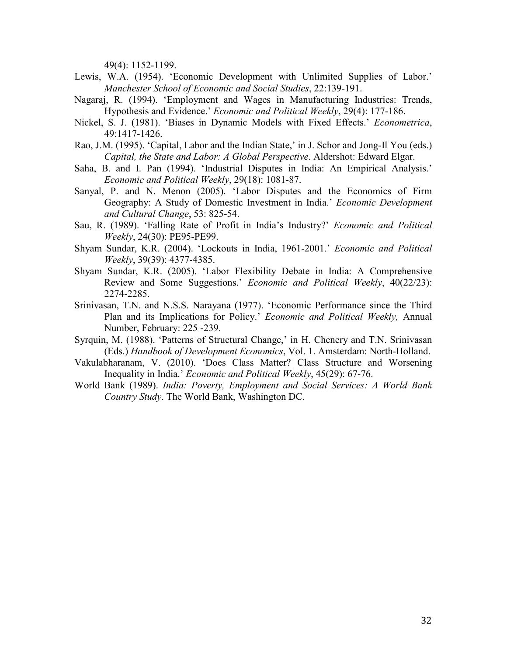49(4): 1152-1199.

- Lewis, W.A. (1954). 'Economic Development with Unlimited Supplies of Labor.' *Manchester School of Economic and Social Studies*, 22:139-191.
- Nagaraj, R. (1994). 'Employment and Wages in Manufacturing Industries: Trends, Hypothesis and Evidence.' *Economic and Political Weekly*, 29(4): 177-186.
- Nickel, S. J. (1981). 'Biases in Dynamic Models with Fixed Effects.' *Econometrica*, 49:1417-1426.
- Rao, J.M. (1995). 'Capital, Labor and the Indian State,' in J. Schor and Jong-Il You (eds.) *Capital, the State and Labor: A Global Perspective*. Aldershot: Edward Elgar.
- Saha, B. and I. Pan (1994). 'Industrial Disputes in India: An Empirical Analysis.' *Economic and Political Weekly*, 29(18): 1081-87.
- Sanyal, P. and N. Menon (2005). 'Labor Disputes and the Economics of Firm Geography: A Study of Domestic Investment in India.' *Economic Development and Cultural Change*, 53: 825-54.
- Sau, R. (1989). 'Falling Rate of Profit in India's Industry?' *Economic and Political Weekly*, 24(30): PE95-PE99.
- Shyam Sundar, K.R. (2004). 'Lockouts in India, 1961-2001.' *Economic and Political Weekly*, 39(39): 4377-4385.
- Shyam Sundar, K.R. (2005). 'Labor Flexibility Debate in India: A Comprehensive Review and Some Suggestions.' *Economic and Political Weekly*, 40(22/23): 2274-2285.
- Srinivasan, T.N. and N.S.S. Narayana (1977). 'Economic Performance since the Third Plan and its Implications for Policy.' *Economic and Political Weekly,* Annual Number, February: 225 -239.
- Syrquin, M. (1988). 'Patterns of Structural Change,' in H. Chenery and T.N. Srinivasan (Eds.) *Handbook of Development Economics*, Vol. 1. Amsterdam: North-Holland.
- Vakulabharanam, V. (2010). 'Does Class Matter? Class Structure and Worsening Inequality in India.' *Economic and Political Weekly*, 45(29): 67-76.
- World Bank (1989). *India: Poverty, Employment and Social Services: A World Bank Country Study*. The World Bank, Washington DC.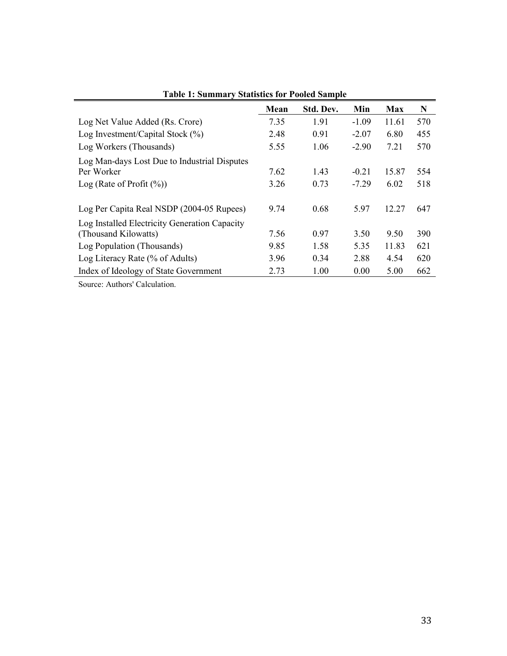| Table 1. Summary Statistics for Tooled Sample              |      |           |         |            |     |  |  |  |
|------------------------------------------------------------|------|-----------|---------|------------|-----|--|--|--|
|                                                            | Mean | Std. Dev. | Min     | <b>Max</b> | N   |  |  |  |
| Log Net Value Added (Rs. Crore)                            | 7.35 | 1.91      | $-1.09$ | 11.61      | 570 |  |  |  |
| Log Investment/Capital Stock $(\%)$                        | 2.48 | 0.91      | $-2.07$ | 6.80       | 455 |  |  |  |
| Log Workers (Thousands)                                    | 5.55 | 1.06      | $-2.90$ | 7.21       | 570 |  |  |  |
| Log Man-days Lost Due to Industrial Disputes<br>Per Worker | 7.62 | 1.43      | $-0.21$ | 15.87      | 554 |  |  |  |
| Log (Rate of Profit $(\%)$ )                               | 3.26 | 0.73      | $-7.29$ | 6.02       | 518 |  |  |  |
| Log Per Capita Real NSDP (2004-05 Rupees)                  | 9.74 | 0.68      | 5.97    | 12.27      | 647 |  |  |  |
| Log Installed Electricity Generation Capacity              |      |           |         |            |     |  |  |  |
| (Thousand Kilowatts)                                       | 7.56 | 0.97      | 3.50    | 9.50       | 390 |  |  |  |
| Log Population (Thousands)                                 | 9.85 | 1.58      | 5.35    | 11.83      | 621 |  |  |  |
| Log Literacy Rate (% of Adults)                            | 3.96 | 0.34      | 2.88    | 4.54       | 620 |  |  |  |
| Index of Ideology of State Government                      | 2.73 | 1.00      | 0.00    | 5.00       | 662 |  |  |  |

**Table 1: Summary Statistics for Pooled Sample**

Source: Authors' Calculation.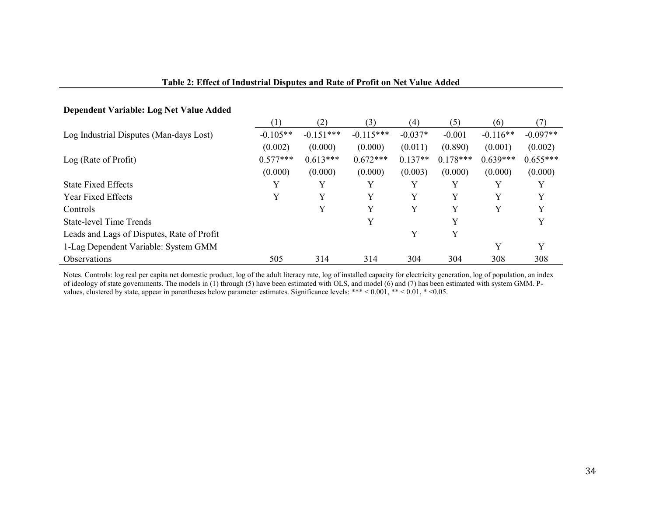| Dependent Variable: Log Net Value Added    |            |             |             |           |            |            |            |
|--------------------------------------------|------------|-------------|-------------|-----------|------------|------------|------------|
|                                            | (1)        | (2)         | (3)         | (4)       | (5)        | (6)        | (7)        |
| Log Industrial Disputes (Man-days Lost)    | $-0.105**$ | $-0.151***$ | $-0.115***$ | $-0.037*$ | $-0.001$   | $-0.116**$ | $-0.097**$ |
|                                            | (0.002)    | (0.000)     | (0.000)     | (0.011)   | (0.890)    | (0.001)    | (0.002)    |
| Log (Rate of Profit)                       | $0.577***$ | $0.613***$  | $0.672***$  | $0.137**$ | $0.178***$ | $0.639***$ | $0.655***$ |
|                                            | (0.000)    | (0.000)     | (0.000)     | (0.003)   | (0.000)    | (0.000)    | (0.000)    |
| <b>State Fixed Effects</b>                 | Y          | Y           | Y           | Y         |            | v          | Y          |
| <b>Year Fixed Effects</b>                  | Y          | Y           | Y           | Y         | Y          | Y          | Y          |
| Controls                                   |            | Y           | Y           | Y         | Y          | Y          | Y          |
| <b>State-level Time Trends</b>             |            |             | Y           |           | Y          |            | Y          |
| Leads and Lags of Disputes, Rate of Profit |            |             |             | Y         | Y          |            |            |
| 1-Lag Dependent Variable: System GMM       |            |             |             |           |            | Y          | Y          |
| <b>Observations</b>                        | 505        | 314         | 314         | 304       | 304        | 308        | 308        |

# **Table 2: Effect of Industrial Disputes and Rate of Profit on Net Value Added**

Notes. Controls: log real per capita net domestic product, log of the adult literacy rate, log of installed capacity for electricity generation, log of population, an index of ideology of state governments. The models in (1) through (5) have been estimated with OLS, and model (6) and (7) has been estimated with system GMM. Pvalues, clustered by state, appear in parentheses below parameter estimates. Significance levels: \*\*\* < 0.001, \*\* < 0.01, \* <0.05.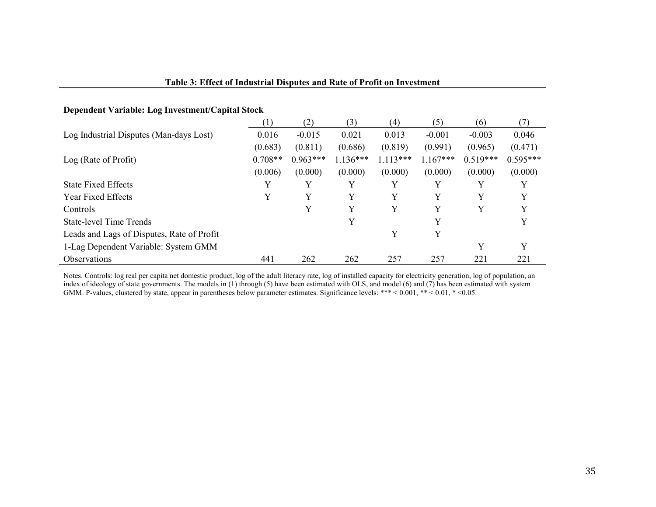| Dependent Variable: Log Investment/Capital Stock |           |            |            |            |            |            |            |
|--------------------------------------------------|-----------|------------|------------|------------|------------|------------|------------|
|                                                  | (1)       | (2)        | (3)        | (4)        | (5)        | (6)        | (7)        |
| Log Industrial Disputes (Man-days Lost)          | 0.016     | $-0.015$   | 0.021      | 0.013      | $-0.001$   | $-0.003$   | 0.046      |
|                                                  | (0.683)   | (0.811)    | (0.686)    | (0.819)    | (0.991)    | (0.965)    | (0.471)    |
| Log (Rate of Profit)                             | $0.708**$ | $0.963***$ | $1.136***$ | $1.113***$ | $1.167***$ | $0.519***$ | $0.595***$ |
|                                                  | (0.006)   | (0.000)    | (0.000)    | (0.000)    | (0.000)    | (0.000)    | (0.000)    |
| <b>State Fixed Effects</b>                       | Y         | Y          | v          | Y          | Y          | Y          | Y          |
| <b>Year Fixed Effects</b>                        | Y         | Y          | Y          | Y          | Y          | Y          | Y          |
| Controls                                         |           | Y          | Y          | Y          | Y          | Y          | Y          |
| <b>State-level Time Trends</b>                   |           |            | Y          |            | Y          |            | Y          |
| Leads and Lags of Disputes, Rate of Profit       |           |            |            | Y          | Y          |            |            |
| 1-Lag Dependent Variable: System GMM             |           |            |            |            |            | Y          | Y          |
| <b>Observations</b>                              | 441       | 262        | 262        | 257        | 257        | 221        | 221        |

### **Table 3: Effect of Industrial Disputes and Rate of Profit on Investment**

Notes. Controls: log real per capita net domestic product, log of the adult literacy rate, log of installed capacity for electricity generation, log of population, an index of ideology of state governments. The models in (1) through (5) have been estimated with OLS, and model (6) and (7) has been estimated with system GMM. P-values, clustered by state, appear in parentheses below parameter estimates. Significance levels: \*\*\* < 0.001, \*\* < 0.01, \* < 0.05.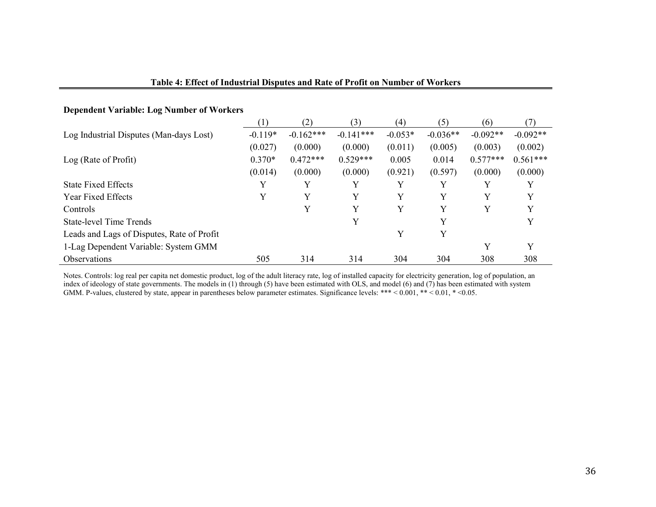| <b>Dependent Variable: Log Number of Workers</b> |           |             |             |           |            |            |            |
|--------------------------------------------------|-----------|-------------|-------------|-----------|------------|------------|------------|
|                                                  | (1)       | (2)         | (3)         | (4)       | (5)        | (6)        | (7)        |
| Log Industrial Disputes (Man-days Lost)          | $-0.119*$ | $-0.162***$ | $-0.141***$ | $-0.053*$ | $-0.036**$ | $-0.092**$ | $-0.092**$ |
|                                                  | (0.027)   | (0.000)     | (0.000)     | (0.011)   | (0.005)    | (0.003)    | (0.002)    |
| Log (Rate of Profit)                             | $0.370*$  | $0.472***$  | $0.529***$  | 0.005     | 0.014      | $0.577***$ | $0.561***$ |
|                                                  | (0.014)   | (0.000)     | (0.000)     | (0.921)   | (0.597)    | (0.000)    | (0.000)    |
| <b>State Fixed Effects</b>                       | Y         | Y           | Y           | Y         | Y          |            |            |
| <b>Year Fixed Effects</b>                        | Y         | Y           | Y           | Y         | Y          | Y          | Y          |
| <b>Controls</b>                                  |           | Y           | Y           | Y         | Y          | Y          | v          |
| <b>State-level Time Trends</b>                   |           |             | Y           |           | Y          |            |            |
| Leads and Lags of Disputes, Rate of Profit       |           |             |             | Y         | Y          |            |            |
| 1-Lag Dependent Variable: System GMM             |           |             |             |           |            | Y          | Y          |
| <b>Observations</b>                              | 505       | 314         | 314         | 304       | 304        | 308        | 308        |

# **Table 4: Effect of Industrial Disputes and Rate of Profit on Number of Workers**

Notes. Controls: log real per capita net domestic product, log of the adult literacy rate, log of installed capacity for electricity generation, log of population, an index of ideology of state governments. The models in (1) through (5) have been estimated with OLS, and model (6) and (7) has been estimated with system GMM. P-values, clustered by state, appear in parentheses below parameter estimates. Significance levels: \*\*\* < 0.001, \*\* < 0.01, \* < 0.05.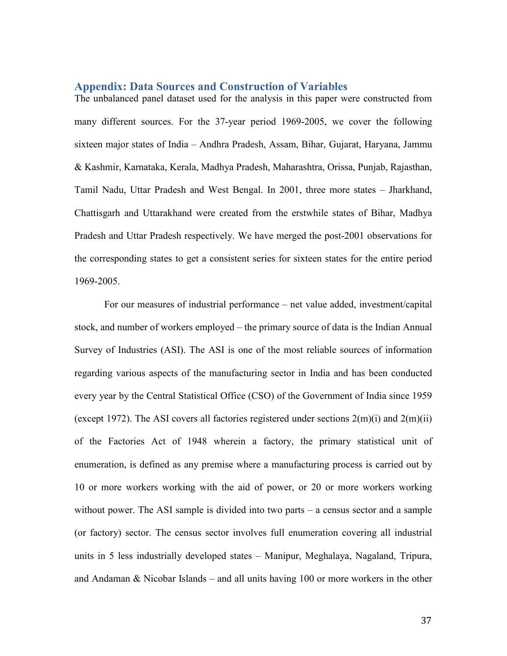#### **Appendix: Data Sources and Construction of Variables**

The unbalanced panel dataset used for the analysis in this paper were constructed from many different sources. For the 37-year period 1969-2005, we cover the following sixteen major states of India – Andhra Pradesh, Assam, Bihar, Gujarat, Haryana, Jammu & Kashmir, Karnataka, Kerala, Madhya Pradesh, Maharashtra, Orissa, Punjab, Rajasthan, Tamil Nadu, Uttar Pradesh and West Bengal. In 2001, three more states – Jharkhand, Chattisgarh and Uttarakhand were created from the erstwhile states of Bihar, Madhya Pradesh and Uttar Pradesh respectively. We have merged the post-2001 observations for the corresponding states to get a consistent series for sixteen states for the entire period 1969-2005.

For our measures of industrial performance – net value added, investment/capital stock, and number of workers employed – the primary source of data is the Indian Annual Survey of Industries (ASI). The ASI is one of the most reliable sources of information regarding various aspects of the manufacturing sector in India and has been conducted every year by the Central Statistical Office (CSO) of the Government of India since 1959 (except 1972). The ASI covers all factories registered under sections  $2(m)(i)$  and  $2(m)(ii)$ of the Factories Act of 1948 wherein a factory, the primary statistical unit of enumeration, is defined as any premise where a manufacturing process is carried out by 10 or more workers working with the aid of power, or 20 or more workers working without power. The ASI sample is divided into two parts – a census sector and a sample (or factory) sector. The census sector involves full enumeration covering all industrial units in 5 less industrially developed states – Manipur, Meghalaya, Nagaland, Tripura, and Andaman & Nicobar Islands – and all units having 100 or more workers in the other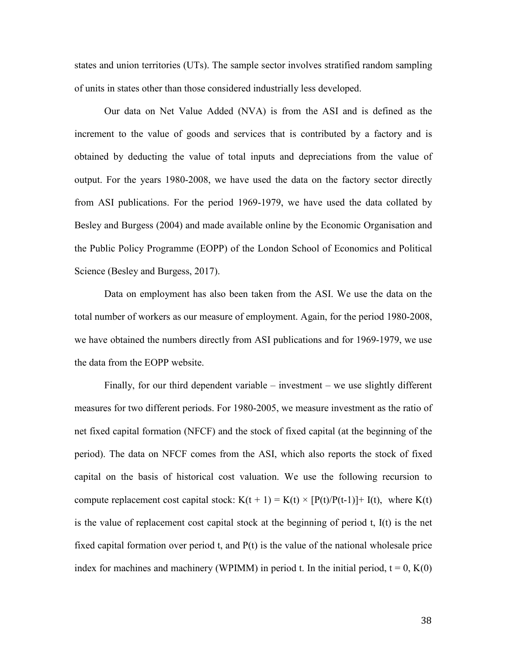states and union territories (UTs). The sample sector involves stratified random sampling of units in states other than those considered industrially less developed.

Our data on Net Value Added (NVA) is from the ASI and is defined as the increment to the value of goods and services that is contributed by a factory and is obtained by deducting the value of total inputs and depreciations from the value of output. For the years 1980-2008, we have used the data on the factory sector directly from ASI publications. For the period 1969-1979, we have used the data collated by Besley and Burgess (2004) and made available online by the Economic Organisation and the Public Policy Programme (EOPP) of the London School of Economics and Political Science (Besley and Burgess, 2017).

Data on employment has also been taken from the ASI. We use the data on the total number of workers as our measure of employment. Again, for the period 1980-2008, we have obtained the numbers directly from ASI publications and for 1969-1979, we use the data from the EOPP website.

Finally, for our third dependent variable – investment – we use slightly different measures for two different periods. For 1980-2005, we measure investment as the ratio of net fixed capital formation (NFCF) and the stock of fixed capital (at the beginning of the period). The data on NFCF comes from the ASI, which also reports the stock of fixed capital on the basis of historical cost valuation. We use the following recursion to compute replacement cost capital stock:  $K(t + 1) = K(t) \times [P(t)/P(t-1)] + I(t)$ , where  $K(t)$ is the value of replacement cost capital stock at the beginning of period t, I(t) is the net fixed capital formation over period t, and P(t) is the value of the national wholesale price index for machines and machinery (WPIMM) in period t. In the initial period,  $t = 0$ ,  $K(0)$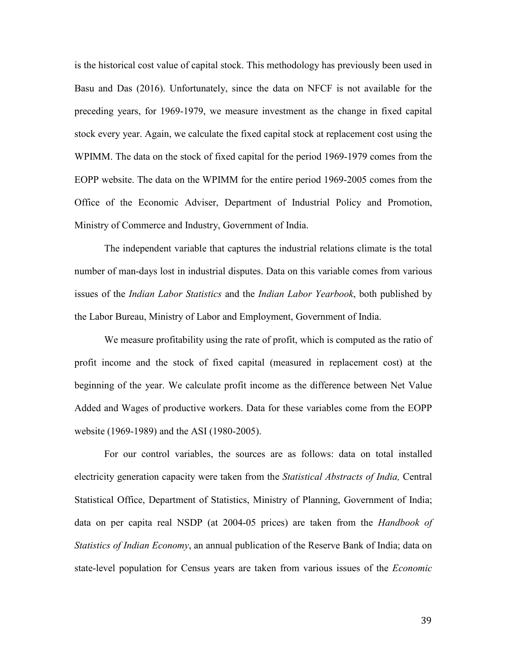is the historical cost value of capital stock. This methodology has previously been used in Basu and Das (2016). Unfortunately, since the data on NFCF is not available for the preceding years, for 1969-1979, we measure investment as the change in fixed capital stock every year. Again, we calculate the fixed capital stock at replacement cost using the WPIMM. The data on the stock of fixed capital for the period 1969-1979 comes from the EOPP website. The data on the WPIMM for the entire period 1969-2005 comes from the Office of the Economic Adviser, Department of Industrial Policy and Promotion, Ministry of Commerce and Industry, Government of India.

The independent variable that captures the industrial relations climate is the total number of man-days lost in industrial disputes. Data on this variable comes from various issues of the *Indian Labor Statistics* and the *Indian Labor Yearbook*, both published by the Labor Bureau, Ministry of Labor and Employment, Government of India.

We measure profitability using the rate of profit, which is computed as the ratio of profit income and the stock of fixed capital (measured in replacement cost) at the beginning of the year. We calculate profit income as the difference between Net Value Added and Wages of productive workers. Data for these variables come from the EOPP website (1969-1989) and the ASI (1980-2005).

For our control variables, the sources are as follows: data on total installed electricity generation capacity were taken from the *Statistical Abstracts of India,* Central Statistical Office, Department of Statistics, Ministry of Planning, Government of India; data on per capita real NSDP (at 2004-05 prices) are taken from the *Handbook of Statistics of Indian Economy*, an annual publication of the Reserve Bank of India; data on state-level population for Census years are taken from various issues of the *Economic*